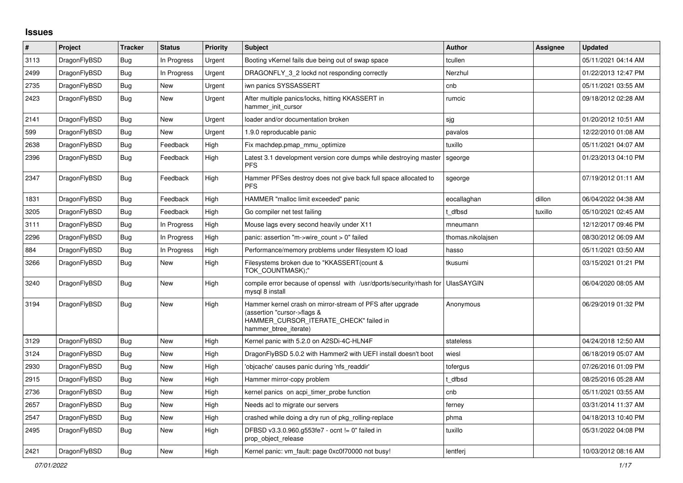## **Issues**

| #    | <b>Project</b> | <b>Tracker</b> | <b>Status</b> | Priority | <b>Subject</b>                                                                                                                                              | <b>Author</b>     | <b>Assignee</b> | <b>Updated</b>      |
|------|----------------|----------------|---------------|----------|-------------------------------------------------------------------------------------------------------------------------------------------------------------|-------------------|-----------------|---------------------|
| 3113 | DragonFlyBSD   | <b>Bug</b>     | In Progress   | Urgent   | Booting vKernel fails due being out of swap space                                                                                                           | tcullen           |                 | 05/11/2021 04:14 AM |
| 2499 | DragonFlyBSD   | <b>Bug</b>     | In Progress   | Urgent   | DRAGONFLY 3 2 lockd not responding correctly                                                                                                                | Nerzhul           |                 | 01/22/2013 12:47 PM |
| 2735 | DragonFlyBSD   | <b>Bug</b>     | <b>New</b>    | Urgent   | iwn panics SYSSASSERT                                                                                                                                       | cnb               |                 | 05/11/2021 03:55 AM |
| 2423 | DragonFlyBSD   | Bug            | <b>New</b>    | Urgent   | After multiple panics/locks, hitting KKASSERT in<br>hammer init cursor                                                                                      | rumcic            |                 | 09/18/2012 02:28 AM |
| 2141 | DragonFlyBSD   | Bug            | <b>New</b>    | Urgent   | loader and/or documentation broken                                                                                                                          | sjg               |                 | 01/20/2012 10:51 AM |
| 599  | DragonFlyBSD   | Bug            | <b>New</b>    | Urgent   | 1.9.0 reproducable panic                                                                                                                                    | pavalos           |                 | 12/22/2010 01:08 AM |
| 2638 | DragonFlyBSD   | Bug            | Feedback      | High     | Fix machdep.pmap mmu optimize                                                                                                                               | tuxillo           |                 | 05/11/2021 04:07 AM |
| 2396 | DragonFlyBSD   | Bug            | Feedback      | High     | Latest 3.1 development version core dumps while destroying master<br><b>PFS</b>                                                                             | sgeorge           |                 | 01/23/2013 04:10 PM |
| 2347 | DragonFlyBSD   | Bug            | Feedback      | High     | Hammer PFSes destroy does not give back full space allocated to<br><b>PFS</b>                                                                               | sgeorge           |                 | 07/19/2012 01:11 AM |
| 1831 | DragonFlyBSD   | <b>Bug</b>     | Feedback      | High     | HAMMER "malloc limit exceeded" panic                                                                                                                        | eocallaghan       | dillon          | 06/04/2022 04:38 AM |
| 3205 | DragonFlyBSD   | <b>Bug</b>     | Feedback      | High     | Go compiler net test failing                                                                                                                                | t dfbsd           | tuxillo         | 05/10/2021 02:45 AM |
| 3111 | DragonFlyBSD   | Bug            | In Progress   | High     | Mouse lags every second heavily under X11                                                                                                                   | mneumann          |                 | 12/12/2017 09:46 PM |
| 2296 | DragonFlyBSD   | <b>Bug</b>     | In Progress   | High     | panic: assertion "m->wire_count > 0" failed                                                                                                                 | thomas.nikolajsen |                 | 08/30/2012 06:09 AM |
| 884  | DragonFlyBSD   | <b>Bug</b>     | In Progress   | High     | Performance/memory problems under filesystem IO load                                                                                                        | hasso             |                 | 05/11/2021 03:50 AM |
| 3266 | DragonFlyBSD   | <b>Bug</b>     | <b>New</b>    | High     | Filesystems broken due to "KKASSERT(count &<br>TOK COUNTMASK);"                                                                                             | tkusumi           |                 | 03/15/2021 01:21 PM |
| 3240 | DragonFlyBSD   | Bug            | <b>New</b>    | High     | compile error because of openssl with /usr/dports/security/rhash for<br>mysql 8 install                                                                     | UlasSAYGIN        |                 | 06/04/2020 08:05 AM |
| 3194 | DragonFlyBSD   | Bug            | <b>New</b>    | High     | Hammer kernel crash on mirror-stream of PFS after upgrade<br>(assertion "cursor->flags &<br>HAMMER_CURSOR_ITERATE_CHECK" failed in<br>hammer_btree_iterate) | Anonymous         |                 | 06/29/2019 01:32 PM |
| 3129 | DragonFlyBSD   | <b>Bug</b>     | <b>New</b>    | High     | Kernel panic with 5.2.0 on A2SDi-4C-HLN4F                                                                                                                   | stateless         |                 | 04/24/2018 12:50 AM |
| 3124 | DragonFlyBSD   | Bug            | <b>New</b>    | High     | DragonFlyBSD 5.0.2 with Hammer2 with UEFI install doesn't boot                                                                                              | wiesl             |                 | 06/18/2019 05:07 AM |
| 2930 | DragonFlyBSD   | Bug            | <b>New</b>    | High     | 'objcache' causes panic during 'nfs_readdir'                                                                                                                | tofergus          |                 | 07/26/2016 01:09 PM |
| 2915 | DragonFlyBSD   | Bug            | <b>New</b>    | High     | Hammer mirror-copy problem                                                                                                                                  | t dfbsd           |                 | 08/25/2016 05:28 AM |
| 2736 | DragonFlyBSD   | Bug            | <b>New</b>    | High     | kernel panics on acpi timer probe function                                                                                                                  | cnb               |                 | 05/11/2021 03:55 AM |
| 2657 | DragonFlyBSD   | Bug            | <b>New</b>    | High     | Needs acl to migrate our servers                                                                                                                            | ferney            |                 | 03/31/2014 11:37 AM |
| 2547 | DragonFlyBSD   | Bug            | <b>New</b>    | High     | crashed while doing a dry run of pkg rolling-replace                                                                                                        | phma              |                 | 04/18/2013 10:40 PM |
| 2495 | DragonFlyBSD   | Bug            | <b>New</b>    | High     | DFBSD v3.3.0.960.g553fe7 - ocnt != 0" failed in<br>prop_object_release                                                                                      | tuxillo           |                 | 05/31/2022 04:08 PM |
| 2421 | DragonFlyBSD   | Bug            | <b>New</b>    | High     | Kernel panic: vm fault: page 0xc0f70000 not busy!                                                                                                           | lentferi          |                 | 10/03/2012 08:16 AM |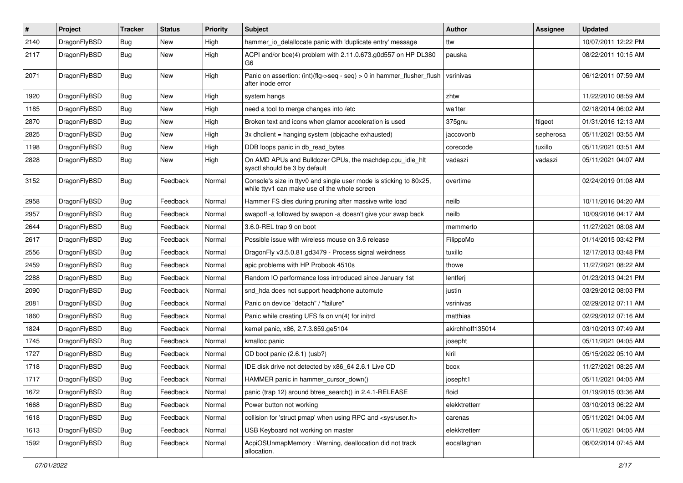| $\sharp$ | Project      | <b>Tracker</b> | <b>Status</b> | <b>Priority</b> | Subject                                                                                                            | Author           | Assignee  | <b>Updated</b>      |
|----------|--------------|----------------|---------------|-----------------|--------------------------------------------------------------------------------------------------------------------|------------------|-----------|---------------------|
| 2140     | DragonFlyBSD | <b>Bug</b>     | <b>New</b>    | High            | hammer_io_delallocate panic with 'duplicate entry' message                                                         | ttw              |           | 10/07/2011 12:22 PM |
| 2117     | DragonFlyBSD | <b>Bug</b>     | New           | High            | ACPI and/or bce(4) problem with 2.11.0.673.g0d557 on HP DL380<br>G6                                                | pauska           |           | 08/22/2011 10:15 AM |
| 2071     | DragonFlyBSD | Bug            | <b>New</b>    | High            | Panic on assertion: $(int)(flag->seq - seq) > 0$ in hammer flusher flush<br>after inode error                      | vsrinivas        |           | 06/12/2011 07:59 AM |
| 1920     | DragonFlyBSD | <b>Bug</b>     | <b>New</b>    | High            | system hangs                                                                                                       | zhtw             |           | 11/22/2010 08:59 AM |
| 1185     | DragonFlyBSD | <b>Bug</b>     | New           | High            | need a tool to merge changes into /etc                                                                             | wa1ter           |           | 02/18/2014 06:02 AM |
| 2870     | DragonFlyBSD | <b>Bug</b>     | New           | High            | Broken text and icons when glamor acceleration is used                                                             | 375gnu           | ftigeot   | 01/31/2016 12:13 AM |
| 2825     | DragonFlyBSD | <b>Bug</b>     | <b>New</b>    | High            | 3x dhclient = hanging system (objcache exhausted)                                                                  | jaccovonb        | sepherosa | 05/11/2021 03:55 AM |
| 1198     | DragonFlyBSD | <b>Bug</b>     | <b>New</b>    | High            | DDB loops panic in db_read_bytes                                                                                   | corecode         | tuxillo   | 05/11/2021 03:51 AM |
| 2828     | DragonFlyBSD | Bug            | New           | High            | On AMD APUs and Bulldozer CPUs, the machdep.cpu_idle_hlt<br>sysctl should be 3 by default                          | vadaszi          | vadaszi   | 05/11/2021 04:07 AM |
| 3152     | DragonFlyBSD | <b>Bug</b>     | Feedback      | Normal          | Console's size in ttyv0 and single user mode is sticking to 80x25,<br>while ttyv1 can make use of the whole screen | overtime         |           | 02/24/2019 01:08 AM |
| 2958     | DragonFlyBSD | Bug            | Feedback      | Normal          | Hammer FS dies during pruning after massive write load                                                             | neilb            |           | 10/11/2016 04:20 AM |
| 2957     | DragonFlyBSD | <b>Bug</b>     | Feedback      | Normal          | swapoff -a followed by swapon -a doesn't give your swap back                                                       | neilb            |           | 10/09/2016 04:17 AM |
| 2644     | DragonFlyBSD | <b>Bug</b>     | Feedback      | Normal          | 3.6.0-REL trap 9 on boot                                                                                           | memmerto         |           | 11/27/2021 08:08 AM |
| 2617     | DragonFlyBSD | <b>Bug</b>     | Feedback      | Normal          | Possible issue with wireless mouse on 3.6 release                                                                  | FilippoMo        |           | 01/14/2015 03:42 PM |
| 2556     | DragonFlyBSD | <b>Bug</b>     | Feedback      | Normal          | DragonFly v3.5.0.81.gd3479 - Process signal weirdness                                                              | tuxillo          |           | 12/17/2013 03:48 PM |
| 2459     | DragonFlyBSD | <b>Bug</b>     | Feedback      | Normal          | apic problems with HP Probook 4510s                                                                                | thowe            |           | 11/27/2021 08:22 AM |
| 2288     | DragonFlyBSD | <b>Bug</b>     | Feedback      | Normal          | Random IO performance loss introduced since January 1st                                                            | lentferj         |           | 01/23/2013 04:21 PM |
| 2090     | DragonFlyBSD | <b>Bug</b>     | Feedback      | Normal          | snd_hda does not support headphone automute                                                                        | justin           |           | 03/29/2012 08:03 PM |
| 2081     | DragonFlyBSD | <b>Bug</b>     | Feedback      | Normal          | Panic on device "detach" / "failure"                                                                               | vsrinivas        |           | 02/29/2012 07:11 AM |
| 1860     | DragonFlyBSD | <b>Bug</b>     | Feedback      | Normal          | Panic while creating UFS fs on vn(4) for initrd                                                                    | matthias         |           | 02/29/2012 07:16 AM |
| 1824     | DragonFlyBSD | <b>Bug</b>     | Feedback      | Normal          | kernel panic, x86, 2.7.3.859.ge5104                                                                                | akirchhoff135014 |           | 03/10/2013 07:49 AM |
| 1745     | DragonFlyBSD | <b>Bug</b>     | Feedback      | Normal          | kmalloc panic                                                                                                      | josepht          |           | 05/11/2021 04:05 AM |
| 1727     | DragonFlyBSD | <b>Bug</b>     | Feedback      | Normal          | CD boot panic (2.6.1) (usb?)                                                                                       | kiril            |           | 05/15/2022 05:10 AM |
| 1718     | DragonFlyBSD | <b>Bug</b>     | Feedback      | Normal          | IDE disk drive not detected by x86_64 2.6.1 Live CD                                                                | bcox             |           | 11/27/2021 08:25 AM |
| 1717     | DragonFlyBSD | <b>Bug</b>     | Feedback      | Normal          | HAMMER panic in hammer cursor down()                                                                               | josepht1         |           | 05/11/2021 04:05 AM |
| 1672     | DragonFlyBSD | <b>Bug</b>     | Feedback      | Normal          | panic (trap 12) around btree_search() in 2.4.1-RELEASE                                                             | floid            |           | 01/19/2015 03:36 AM |
| 1668     | DragonFlyBSD | <b>Bug</b>     | Feedback      | Normal          | Power button not working                                                                                           | elekktretterr    |           | 03/10/2013 06:22 AM |
| 1618     | DragonFlyBSD | <b>Bug</b>     | Feedback      | Normal          | collision for 'struct pmap' when using RPC and <sys user.h=""></sys>                                               | carenas          |           | 05/11/2021 04:05 AM |
| 1613     | DragonFlyBSD | <b>Bug</b>     | Feedback      | Normal          | USB Keyboard not working on master                                                                                 | elekktretterr    |           | 05/11/2021 04:05 AM |
| 1592     | DragonFlyBSD | <b>Bug</b>     | Feedback      | Normal          | AcpiOSUnmapMemory: Warning, deallocation did not track<br>allocation.                                              | eocallaghan      |           | 06/02/2014 07:45 AM |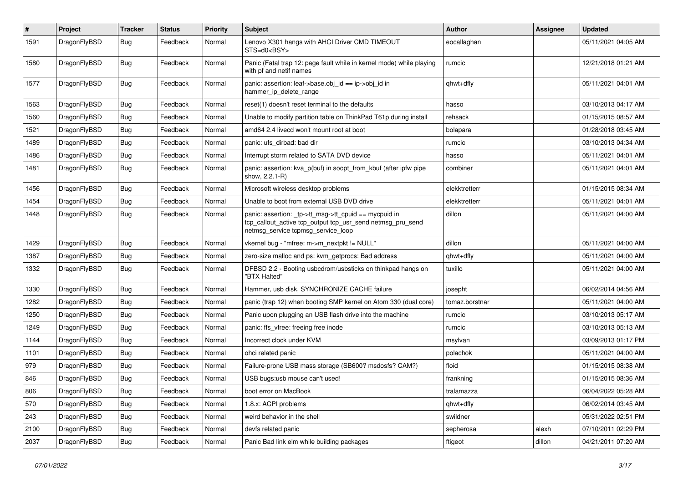| $\sharp$ | Project      | <b>Tracker</b> | <b>Status</b> | <b>Priority</b> | <b>Subject</b>                                                                                                                                            | <b>Author</b>  | Assignee | <b>Updated</b>      |
|----------|--------------|----------------|---------------|-----------------|-----------------------------------------------------------------------------------------------------------------------------------------------------------|----------------|----------|---------------------|
| 1591     | DragonFlyBSD | Bug            | Feedback      | Normal          | Lenovo X301 hangs with AHCI Driver CMD TIMEOUT<br>STS=d0 <bsy></bsy>                                                                                      | eocallaghan    |          | 05/11/2021 04:05 AM |
| 1580     | DragonFlyBSD | <b>Bug</b>     | Feedback      | Normal          | Panic (Fatal trap 12: page fault while in kernel mode) while playing<br>with pf and netif names                                                           | rumcic         |          | 12/21/2018 01:21 AM |
| 1577     | DragonFlyBSD | <b>Bug</b>     | Feedback      | Normal          | panic: assertion: leaf->base.obj id == ip->obj id in<br>hammer_ip_delete_range                                                                            | qhwt+dfly      |          | 05/11/2021 04:01 AM |
| 1563     | DragonFlyBSD | <b>Bug</b>     | Feedback      | Normal          | reset(1) doesn't reset terminal to the defaults                                                                                                           | hasso          |          | 03/10/2013 04:17 AM |
| 1560     | DragonFlyBSD | <b>Bug</b>     | Feedback      | Normal          | Unable to modify partition table on ThinkPad T61p during install                                                                                          | rehsack        |          | 01/15/2015 08:57 AM |
| 1521     | DragonFlyBSD | <b>Bug</b>     | Feedback      | Normal          | amd64 2.4 livecd won't mount root at boot                                                                                                                 | bolapara       |          | 01/28/2018 03:45 AM |
| 1489     | DragonFlyBSD | <b>Bug</b>     | Feedback      | Normal          | panic: ufs dirbad: bad dir                                                                                                                                | rumcic         |          | 03/10/2013 04:34 AM |
| 1486     | DragonFlyBSD | <b>Bug</b>     | Feedback      | Normal          | Interrupt storm related to SATA DVD device                                                                                                                | hasso          |          | 05/11/2021 04:01 AM |
| 1481     | DragonFlyBSD | Bug            | Feedback      | Normal          | panic: assertion: kva_p(buf) in soopt_from_kbuf (after ipfw pipe<br>show, 2.2.1-R)                                                                        | combiner       |          | 05/11/2021 04:01 AM |
| 1456     | DragonFlyBSD | <b>Bug</b>     | Feedback      | Normal          | Microsoft wireless desktop problems                                                                                                                       | elekktretterr  |          | 01/15/2015 08:34 AM |
| 1454     | DragonFlyBSD | <b>Bug</b>     | Feedback      | Normal          | Unable to boot from external USB DVD drive                                                                                                                | elekktretterr  |          | 05/11/2021 04:01 AM |
| 1448     | DragonFlyBSD | <b>Bug</b>     | Feedback      | Normal          | panic: assertion: _tp->tt_msg->tt_cpuid == mycpuid in<br>tcp_callout_active tcp_output tcp_usr_send netmsg_pru_send<br>netmsg_service tcpmsg_service_loop | dillon         |          | 05/11/2021 04:00 AM |
| 1429     | DragonFlyBSD | <b>Bug</b>     | Feedback      | Normal          | vkernel bug - "mfree: m->m_nextpkt != NULL"                                                                                                               | dillon         |          | 05/11/2021 04:00 AM |
| 1387     | DragonFlyBSD | <b>Bug</b>     | Feedback      | Normal          | zero-size malloc and ps: kvm_getprocs: Bad address                                                                                                        | qhwt+dfly      |          | 05/11/2021 04:00 AM |
| 1332     | DragonFlyBSD | <b>Bug</b>     | Feedback      | Normal          | DFBSD 2.2 - Booting usbcdrom/usbsticks on thinkpad hangs on<br>"BTX Halted"                                                                               | tuxillo        |          | 05/11/2021 04:00 AM |
| 1330     | DragonFlyBSD | <b>Bug</b>     | Feedback      | Normal          | Hammer, usb disk, SYNCHRONIZE CACHE failure                                                                                                               | josepht        |          | 06/02/2014 04:56 AM |
| 1282     | DragonFlyBSD | <b>Bug</b>     | Feedback      | Normal          | panic (trap 12) when booting SMP kernel on Atom 330 (dual core)                                                                                           | tomaz.borstnar |          | 05/11/2021 04:00 AM |
| 1250     | DragonFlyBSD | <b>Bug</b>     | Feedback      | Normal          | Panic upon plugging an USB flash drive into the machine                                                                                                   | rumcic         |          | 03/10/2013 05:17 AM |
| 1249     | DragonFlyBSD | <b>Bug</b>     | Feedback      | Normal          | panic: ffs vfree: freeing free inode                                                                                                                      | rumcic         |          | 03/10/2013 05:13 AM |
| 1144     | DragonFlyBSD | <b>Bug</b>     | Feedback      | Normal          | Incorrect clock under KVM                                                                                                                                 | msylvan        |          | 03/09/2013 01:17 PM |
| 1101     | DragonFlyBSD | <b>Bug</b>     | Feedback      | Normal          | ohci related panic                                                                                                                                        | polachok       |          | 05/11/2021 04:00 AM |
| 979      | DragonFlyBSD | <b>Bug</b>     | Feedback      | Normal          | Failure-prone USB mass storage (SB600? msdosfs? CAM?)                                                                                                     | floid          |          | 01/15/2015 08:38 AM |
| 846      | DragonFlyBSD | Bug            | Feedback      | Normal          | USB bugs:usb mouse can't used!                                                                                                                            | frankning      |          | 01/15/2015 08:36 AM |
| 806      | DragonFlyBSD | Bug            | Feedback      | Normal          | boot error on MacBook                                                                                                                                     | tralamazza     |          | 06/04/2022 05:28 AM |
| 570      | DragonFlyBSD | <b>Bug</b>     | Feedback      | Normal          | 1.8.x: ACPI problems                                                                                                                                      | qhwt+dfly      |          | 06/02/2014 03:45 AM |
| 243      | DragonFlyBSD | Bug            | Feedback      | Normal          | weird behavior in the shell                                                                                                                               | swildner       |          | 05/31/2022 02:51 PM |
| 2100     | DragonFlyBSD | <b>Bug</b>     | Feedback      | Normal          | devfs related panic                                                                                                                                       | sepherosa      | alexh    | 07/10/2011 02:29 PM |
| 2037     | DragonFlyBSD | <b>Bug</b>     | Feedback      | Normal          | Panic Bad link elm while building packages                                                                                                                | ftigeot        | dillon   | 04/21/2011 07:20 AM |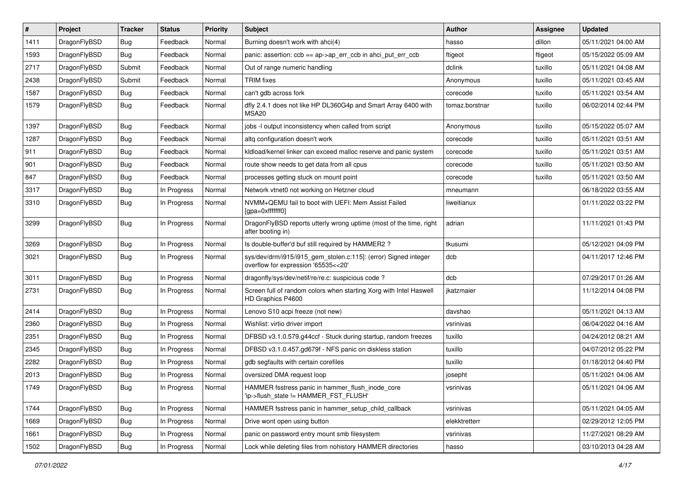| $\sharp$ | Project      | <b>Tracker</b> | <b>Status</b> | <b>Priority</b> | Subject                                                                                                | Author         | Assignee | <b>Updated</b>      |
|----------|--------------|----------------|---------------|-----------------|--------------------------------------------------------------------------------------------------------|----------------|----------|---------------------|
| 1411     | DragonFlyBSD | <b>Bug</b>     | Feedback      | Normal          | Burning doesn't work with ahci(4)                                                                      | hasso          | dillon   | 05/11/2021 04:00 AM |
| 1593     | DragonFlyBSD | Bug            | Feedback      | Normal          | panic: assertion: ccb == ap->ap_err_ccb in ahci_put_err_ccb                                            | ftigeot        | ftigeot  | 05/15/2022 05:09 AM |
| 2717     | DragonFlyBSD | Submit         | Feedback      | Normal          | Out of range numeric handling                                                                          | dclink         | tuxillo  | 05/11/2021 04:08 AM |
| 2438     | DragonFlyBSD | Submit         | Feedback      | Normal          | <b>TRIM</b> fixes                                                                                      | Anonymous      | tuxillo  | 05/11/2021 03:45 AM |
| 1587     | DragonFlyBSD | <b>Bug</b>     | Feedback      | Normal          | can't gdb across fork                                                                                  | corecode       | tuxillo  | 05/11/2021 03:54 AM |
| 1579     | DragonFlyBSD | <b>Bug</b>     | Feedback      | Normal          | dfly 2.4.1 does not like HP DL360G4p and Smart Array 6400 with<br>MSA <sub>20</sub>                    | tomaz.borstnar | tuxillo  | 06/02/2014 02:44 PM |
| 1397     | DragonFlyBSD | <b>Bug</b>     | Feedback      | Normal          | jobs -I output inconsistency when called from script                                                   | Anonymous      | tuxillo  | 05/15/2022 05:07 AM |
| 1287     | DragonFlyBSD | <b>Bug</b>     | Feedback      | Normal          | altq configuration doesn't work                                                                        | corecode       | tuxillo  | 05/11/2021 03:51 AM |
| 911      | DragonFlyBSD | Bug            | Feedback      | Normal          | kidload/kernel linker can exceed malloc reserve and panic system                                       | corecode       | tuxillo  | 05/11/2021 03:51 AM |
| 901      | DragonFlyBSD | <b>Bug</b>     | Feedback      | Normal          | route show needs to get data from all cpus                                                             | corecode       | tuxillo  | 05/11/2021 03:50 AM |
| 847      | DragonFlyBSD | <b>Bug</b>     | Feedback      | Normal          | processes getting stuck on mount point                                                                 | corecode       | tuxillo  | 05/11/2021 03:50 AM |
| 3317     | DragonFlyBSD | <b>Bug</b>     | In Progress   | Normal          | Network vtnet0 not working on Hetzner cloud                                                            | mneumann       |          | 06/18/2022 03:55 AM |
| 3310     | DragonFlyBSD | <b>Bug</b>     | In Progress   | Normal          | NVMM+QEMU fail to boot with UEFI: Mem Assist Failed<br>[gpa=0xfffffff0]                                | liweitianux    |          | 01/11/2022 03:22 PM |
| 3299     | DragonFlyBSD | Bug            | In Progress   | Normal          | DragonFlyBSD reports utterly wrong uptime (most of the time, right<br>after booting in)                | adrian         |          | 11/11/2021 01:43 PM |
| 3269     | DragonFlyBSD | Bug            | In Progress   | Normal          | Is double-buffer'd buf still required by HAMMER2?                                                      | tkusumi        |          | 05/12/2021 04:09 PM |
| 3021     | DragonFlyBSD | <b>Bug</b>     | In Progress   | Normal          | sys/dev/drm/i915/i915_gem_stolen.c:115]: (error) Signed integer<br>overflow for expression '65535<<20' | dcb            |          | 04/11/2017 12:46 PM |
| 3011     | DragonFlyBSD | Bug            | In Progress   | Normal          | dragonfly/sys/dev/netif/re/re.c: suspicious code?                                                      | dcb            |          | 07/29/2017 01:26 AM |
| 2731     | DragonFlyBSD | <b>Bug</b>     | In Progress   | Normal          | Screen full of random colors when starting Xorg with Intel Haswell<br>HD Graphics P4600                | jkatzmaier     |          | 11/12/2014 04:08 PM |
| 2414     | DragonFlyBSD | <b>Bug</b>     | In Progress   | Normal          | Lenovo S10 acpi freeze (not new)                                                                       | davshao        |          | 05/11/2021 04:13 AM |
| 2360     | DragonFlyBSD | <b>Bug</b>     | In Progress   | Normal          | Wishlist: virtio driver import                                                                         | vsrinivas      |          | 06/04/2022 04:16 AM |
| 2351     | DragonFlyBSD | Bug            | In Progress   | Normal          | DFBSD v3.1.0.579.g44ccf - Stuck during startup, random freezes                                         | tuxillo        |          | 04/24/2012 08:21 AM |
| 2345     | DragonFlyBSD | Bug            | In Progress   | Normal          | DFBSD v3.1.0.457.gd679f - NFS panic on diskless station                                                | tuxillo        |          | 04/07/2012 05:22 PM |
| 2282     | DragonFlyBSD | <b>Bug</b>     | In Progress   | Normal          | gdb segfaults with certain corefiles                                                                   | tuxillo        |          | 01/18/2012 04:40 PM |
| 2013     | DragonFlyBSD | <b>Bug</b>     | In Progress   | Normal          | oversized DMA request loop                                                                             | josepht        |          | 05/11/2021 04:06 AM |
| 1749     | DragonFlyBSD | <b>Bug</b>     | In Progress   | Normal          | HAMMER fsstress panic in hammer_flush_inode_core<br>'ip->flush_state != HAMMER_FST_FLUSH'              | vsrinivas      |          | 05/11/2021 04:06 AM |
| 1744     | DragonFlyBSD | <b>Bug</b>     | In Progress   | Normal          | HAMMER fsstress panic in hammer_setup_child_callback                                                   | vsrinivas      |          | 05/11/2021 04:05 AM |
| 1669     | DragonFlyBSD | <b>Bug</b>     | In Progress   | Normal          | Drive wont open using button                                                                           | elekktretterr  |          | 02/29/2012 12:05 PM |
| 1661     | DragonFlyBSD | Bug            | In Progress   | Normal          | panic on password entry mount smb filesystem                                                           | vsrinivas      |          | 11/27/2021 08:29 AM |
| 1502     | DragonFlyBSD | <b>Bug</b>     | In Progress   | Normal          | Lock while deleting files from nohistory HAMMER directories                                            | hasso          |          | 03/10/2013 04:28 AM |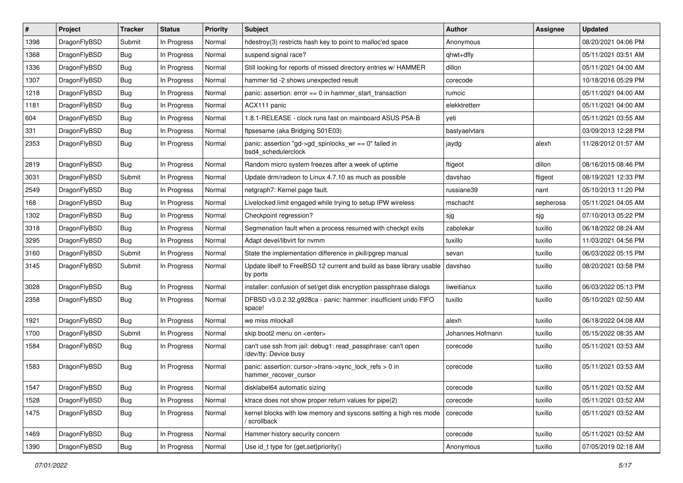| #    | Project      | <b>Tracker</b> | <b>Status</b> | <b>Priority</b> | Subject                                                                               | <b>Author</b>    | Assignee  | <b>Updated</b>      |
|------|--------------|----------------|---------------|-----------------|---------------------------------------------------------------------------------------|------------------|-----------|---------------------|
| 1398 | DragonFlyBSD | Submit         | In Progress   | Normal          | hdestroy(3) restricts hash key to point to malloc'ed space                            | Anonymous        |           | 08/20/2021 04:06 PM |
| 1368 | DragonFlyBSD | Bug            | In Progress   | Normal          | suspend signal race?                                                                  | qhwt+dfly        |           | 05/11/2021 03:51 AM |
| 1336 | DragonFlyBSD | <b>Bug</b>     | In Progress   | Normal          | Still looking for reports of missed directory entries w/ HAMMER                       | dillon           |           | 05/11/2021 04:00 AM |
| 1307 | DragonFlyBSD | <b>Bug</b>     | In Progress   | Normal          | hammer tid -2 shows unexpected result                                                 | corecode         |           | 10/18/2016 05:29 PM |
| 1218 | DragonFlyBSD | <b>Bug</b>     | In Progress   | Normal          | panic: assertion: $error == 0$ in hammer start transaction                            | rumcic           |           | 05/11/2021 04:00 AM |
| 1181 | DragonFlyBSD | <b>Bug</b>     | In Progress   | Normal          | ACX111 panic                                                                          | elekktretterr    |           | 05/11/2021 04:00 AM |
| 604  | DragonFlyBSD | <b>Bug</b>     | In Progress   | Normal          | 1.8.1-RELEASE - clock runs fast on mainboard ASUS P5A-B                               | yeti             |           | 05/11/2021 03:55 AM |
| 331  | DragonFlyBSD | <b>Bug</b>     | In Progress   | Normal          | ftpsesame (aka Bridging S01E03)                                                       | bastyaelvtars    |           | 03/09/2013 12:28 PM |
| 2353 | DragonFlyBSD | <b>Bug</b>     | In Progress   | Normal          | panic: assertion "gd->gd_spinlocks_wr == 0" failed in<br>bsd4_schedulerclock          | jaydg            | alexh     | 11/28/2012 01:57 AM |
| 2819 | DragonFlyBSD | <b>Bug</b>     | In Progress   | Normal          | Random micro system freezes after a week of uptime                                    | ftigeot          | dillon    | 08/16/2015 08:46 PM |
| 3031 | DragonFlyBSD | Submit         | In Progress   | Normal          | Update drm/radeon to Linux 4.7.10 as much as possible                                 | davshao          | ftigeot   | 08/19/2021 12:33 PM |
| 2549 | DragonFlyBSD | <b>Bug</b>     | In Progress   | Normal          | netgraph7: Kernel page fault.                                                         | russiane39       | nant      | 05/10/2013 11:20 PM |
| 168  | DragonFlyBSD | <b>Bug</b>     | In Progress   | Normal          | Livelocked limit engaged while trying to setup IPW wireless                           | mschacht         | sepherosa | 05/11/2021 04:05 AM |
| 1302 | DragonFlyBSD | <b>Bug</b>     | In Progress   | Normal          | Checkpoint regression?                                                                | sjg              | sjg       | 07/10/2013 05:22 PM |
| 3318 | DragonFlyBSD | <b>Bug</b>     | In Progress   | Normal          | Segmenation fault when a process resumed with checkpt exits                           | zabolekar        | tuxillo   | 06/18/2022 08:24 AM |
| 3295 | DragonFlyBSD | <b>Bug</b>     | In Progress   | Normal          | Adapt devel/libvirt for nvmm                                                          | tuxillo          | tuxillo   | 11/03/2021 04:56 PM |
| 3160 | DragonFlyBSD | Submit         | In Progress   | Normal          | State the implementation difference in pkill/pgrep manual                             | sevan            | tuxillo   | 06/03/2022 05:15 PM |
| 3145 | DragonFlyBSD | Submit         | In Progress   | Normal          | Update libelf to FreeBSD 12 current and build as base library usable<br>by ports      | davshao          | tuxillo   | 08/20/2021 03:58 PM |
| 3028 | DragonFlyBSD | <b>Bug</b>     | In Progress   | Normal          | installer: confusion of set/get disk encryption passphrase dialogs                    | liweitianux      | tuxillo   | 06/03/2022 05:13 PM |
| 2358 | DragonFlyBSD | <b>Bug</b>     | In Progress   | Normal          | DFBSD v3.0.2.32.g928ca - panic: hammer: insufficient undo FIFO<br>space!              | tuxillo          | tuxillo   | 05/10/2021 02:50 AM |
| 1921 | DragonFlyBSD | <b>Bug</b>     | In Progress   | Normal          | we miss mlockall                                                                      | alexh            | tuxillo   | 06/18/2022 04:08 AM |
| 1700 | DragonFlyBSD | Submit         | In Progress   | Normal          | skip boot2 menu on <enter></enter>                                                    | Johannes.Hofmann | tuxillo   | 05/15/2022 08:35 AM |
| 1584 | DragonFlyBSD | <b>Bug</b>     | In Progress   | Normal          | can't use ssh from jail: debug1: read_passphrase: can't open<br>/dev/tty: Device busy | corecode         | tuxillo   | 05/11/2021 03:53 AM |
| 1583 | DragonFlyBSD | <b>Bug</b>     | In Progress   | Normal          | panic: assertion: cursor->trans->sync_lock_refs > 0 in<br>hammer_recover_cursor       | corecode         | tuxillo   | 05/11/2021 03:53 AM |
| 1547 | DragonFlyBSD | <b>Bug</b>     | In Progress   | Normal          | disklabel64 automatic sizing                                                          | corecode         | tuxillo   | 05/11/2021 03:52 AM |
| 1528 | DragonFlyBSD | <b>Bug</b>     | In Progress   | Normal          | ktrace does not show proper return values for pipe(2)                                 | corecode         | tuxillo   | 05/11/2021 03:52 AM |
| 1475 | DragonFlyBSD | <b>Bug</b>     | In Progress   | Normal          | kernel blocks with low memory and syscons setting a high res mode<br>/ scrollback     | corecode         | tuxillo   | 05/11/2021 03:52 AM |
| 1469 | DragonFlyBSD | <b>Bug</b>     | In Progress   | Normal          | Hammer history security concern                                                       | corecode         | tuxillo   | 05/11/2021 03:52 AM |
| 1390 | DragonFlyBSD | Bug            | In Progress   | Normal          | Use id_t type for {get,set}priority()                                                 | Anonymous        | tuxillo   | 07/05/2019 02:18 AM |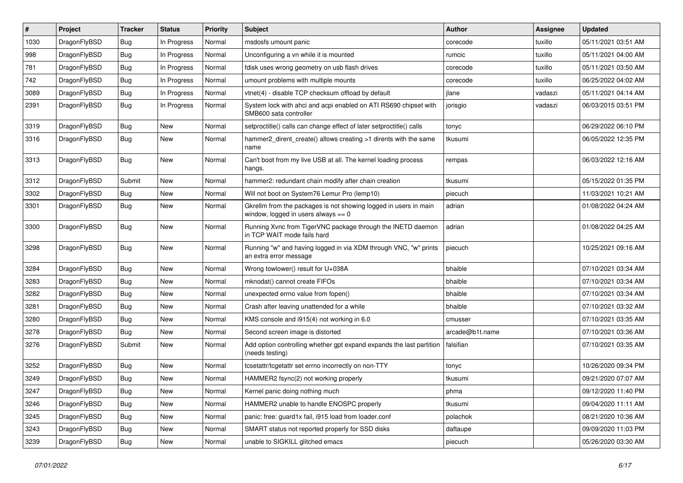| #    | Project      | <b>Tracker</b> | <b>Status</b> | <b>Priority</b> | Subject                                                                                                   | <b>Author</b>   | Assignee | <b>Updated</b>      |
|------|--------------|----------------|---------------|-----------------|-----------------------------------------------------------------------------------------------------------|-----------------|----------|---------------------|
| 1030 | DragonFlyBSD | <b>Bug</b>     | In Progress   | Normal          | msdosfs umount panic                                                                                      | corecode        | tuxillo  | 05/11/2021 03:51 AM |
| 998  | DragonFlyBSD | <b>Bug</b>     | In Progress   | Normal          | Unconfiguring a vn while it is mounted                                                                    | rumcic          | tuxillo  | 05/11/2021 04:00 AM |
| 781  | DragonFlyBSD | Bug            | In Progress   | Normal          | fdisk uses wrong geometry on usb flash drives                                                             | corecode        | tuxillo  | 05/11/2021 03:50 AM |
| 742  | DragonFlyBSD | Bug            | In Progress   | Normal          | umount problems with multiple mounts                                                                      | corecode        | tuxillo  | 06/25/2022 04:02 AM |
| 3089 | DragonFlyBSD | <b>Bug</b>     | In Progress   | Normal          | vtnet(4) - disable TCP checksum offload by default                                                        | jlane           | vadaszi  | 05/11/2021 04:14 AM |
| 2391 | DragonFlyBSD | Bug            | In Progress   | Normal          | System lock with ahci and acpi enabled on ATI RS690 chipset with<br>SMB600 sata controller                | jorisgio        | vadaszi  | 06/03/2015 03:51 PM |
| 3319 | DragonFlyBSD | <b>Bug</b>     | New           | Normal          | setproctitle() calls can change effect of later setproctitle() calls                                      | tonyc           |          | 06/29/2022 06:10 PM |
| 3316 | DragonFlyBSD | Bug            | <b>New</b>    | Normal          | hammer2_dirent_create() allows creating >1 dirents with the same<br>name                                  | tkusumi         |          | 06/05/2022 12:35 PM |
| 3313 | DragonFlyBSD | <b>Bug</b>     | <b>New</b>    | Normal          | Can't boot from my live USB at all. The kernel loading process<br>hangs.                                  | rempas          |          | 06/03/2022 12:16 AM |
| 3312 | DragonFlyBSD | Submit         | <b>New</b>    | Normal          | hammer2: redundant chain modify after chain creation                                                      | tkusumi         |          | 05/15/2022 01:35 PM |
| 3302 | DragonFlyBSD | <b>Bug</b>     | New           | Normal          | Will not boot on System76 Lemur Pro (lemp10)                                                              | piecuch         |          | 11/03/2021 10:21 AM |
| 3301 | DragonFlyBSD | Bug            | <b>New</b>    | Normal          | Gkrellm from the packages is not showing logged in users in main<br>window, logged in users always $== 0$ | adrian          |          | 01/08/2022 04:24 AM |
| 3300 | DragonFlyBSD | Bug            | <b>New</b>    | Normal          | Running Xvnc from TigerVNC package through the INETD daemon<br>in TCP WAIT mode fails hard                | adrian          |          | 01/08/2022 04:25 AM |
| 3298 | DragonFlyBSD | <b>Bug</b>     | New           | Normal          | Running "w" and having logged in via XDM through VNC, "w" prints<br>an extra error message                | piecuch         |          | 10/25/2021 09:16 AM |
| 3284 | DragonFlyBSD | <b>Bug</b>     | <b>New</b>    | Normal          | Wrong towlower() result for U+038A                                                                        | bhaible         |          | 07/10/2021 03:34 AM |
| 3283 | DragonFlyBSD | <b>Bug</b>     | <b>New</b>    | Normal          | mknodat() cannot create FIFOs                                                                             | bhaible         |          | 07/10/2021 03:34 AM |
| 3282 | DragonFlyBSD | Bug            | <b>New</b>    | Normal          | unexpected errno value from fopen()                                                                       | bhaible         |          | 07/10/2021 03:34 AM |
| 3281 | DragonFlyBSD | Bug            | <b>New</b>    | Normal          | Crash after leaving unattended for a while                                                                | bhaible         |          | 07/10/2021 03:32 AM |
| 3280 | DragonFlyBSD | Bug            | <b>New</b>    | Normal          | KMS console and i915(4) not working in 6.0                                                                | cmusser         |          | 07/10/2021 03:35 AM |
| 3278 | DragonFlyBSD | <b>Bug</b>     | <b>New</b>    | Normal          | Second screen image is distorted                                                                          | arcade@b1t.name |          | 07/10/2021 03:36 AM |
| 3276 | DragonFlyBSD | Submit         | <b>New</b>    | Normal          | Add option controlling whether gpt expand expands the last partition<br>(needs testing)                   | falsifian       |          | 07/10/2021 03:35 AM |
| 3252 | DragonFlyBSD | <b>Bug</b>     | <b>New</b>    | Normal          | tcsetattr/tcgetattr set errno incorrectly on non-TTY                                                      | tonyc           |          | 10/26/2020 09:34 PM |
| 3249 | DragonFlyBSD | <b>Bug</b>     | New           | Normal          | HAMMER2 fsync(2) not working properly                                                                     | tkusumi         |          | 09/21/2020 07:07 AM |
| 3247 | DragonFlyBSD | Bug            | New           | Normal          | Kernel panic doing nothing much                                                                           | phma            |          | 09/12/2020 11:40 PM |
| 3246 | DragonFlyBSD | <b>Bug</b>     | New           | Normal          | HAMMER2 unable to handle ENOSPC properly                                                                  | tkusumi         |          | 09/04/2020 11:11 AM |
| 3245 | DragonFlyBSD | <b>Bug</b>     | New           | Normal          | panic: free: guard1x fail, i915 load from loader.conf                                                     | polachok        |          | 08/21/2020 10:36 AM |
| 3243 | DragonFlyBSD | <b>Bug</b>     | New           | Normal          | SMART status not reported properly for SSD disks                                                          | daftaupe        |          | 09/09/2020 11:03 PM |
| 3239 | DragonFlyBSD | <b>Bug</b>     | New           | Normal          | unable to SIGKILL glitched emacs                                                                          | piecuch         |          | 05/26/2020 03:30 AM |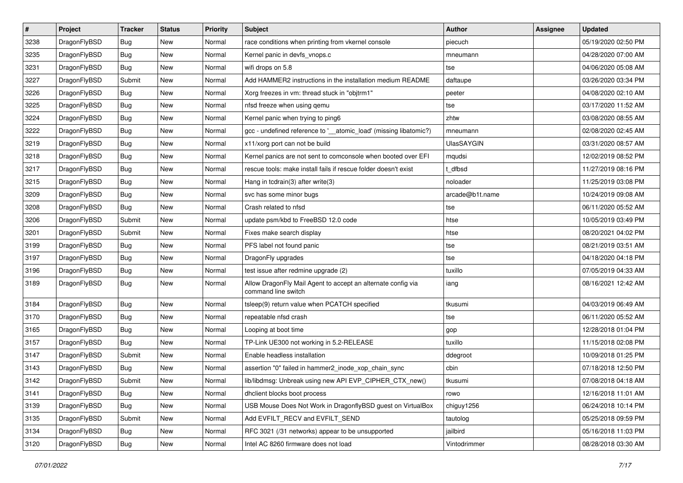| $\sharp$ | Project      | <b>Tracker</b> | <b>Status</b> | <b>Priority</b> | Subject                                                                             | Author            | Assignee | <b>Updated</b>      |
|----------|--------------|----------------|---------------|-----------------|-------------------------------------------------------------------------------------|-------------------|----------|---------------------|
| 3238     | DragonFlyBSD | <b>Bug</b>     | New           | Normal          | race conditions when printing from vkernel console                                  | piecuch           |          | 05/19/2020 02:50 PM |
| 3235     | DragonFlyBSD | <b>Bug</b>     | New           | Normal          | Kernel panic in devfs_vnops.c                                                       | mneumann          |          | 04/28/2020 07:00 AM |
| 3231     | DragonFlyBSD | <b>Bug</b>     | New           | Normal          | wifi drops on 5.8                                                                   | tse               |          | 04/06/2020 05:08 AM |
| 3227     | DragonFlyBSD | Submit         | New           | Normal          | Add HAMMER2 instructions in the installation medium README                          | daftaupe          |          | 03/26/2020 03:34 PM |
| 3226     | DragonFlyBSD | <b>Bug</b>     | <b>New</b>    | Normal          | Xorg freezes in vm: thread stuck in "objtrm1"                                       | peeter            |          | 04/08/2020 02:10 AM |
| 3225     | DragonFlyBSD | <b>Bug</b>     | <b>New</b>    | Normal          | nfsd freeze when using qemu                                                         | tse               |          | 03/17/2020 11:52 AM |
| 3224     | DragonFlyBSD | Bug            | New           | Normal          | Kernel panic when trying to ping6                                                   | zhtw              |          | 03/08/2020 08:55 AM |
| 3222     | DragonFlyBSD | <b>Bug</b>     | <b>New</b>    | Normal          | gcc - undefined reference to '__atomic_load' (missing libatomic?)                   | mneumann          |          | 02/08/2020 02:45 AM |
| 3219     | DragonFlyBSD | <b>Bug</b>     | New           | Normal          | x11/xorg port can not be build                                                      | <b>UlasSAYGIN</b> |          | 03/31/2020 08:57 AM |
| 3218     | DragonFlyBSD | Bug            | New           | Normal          | Kernel panics are not sent to comconsole when booted over EFI                       | mqudsi            |          | 12/02/2019 08:52 PM |
| 3217     | DragonFlyBSD | Bug            | New           | Normal          | rescue tools: make install fails if rescue folder doesn't exist                     | t dfbsd           |          | 11/27/2019 08:16 PM |
| 3215     | DragonFlyBSD | Bug            | <b>New</b>    | Normal          | Hang in tcdrain(3) after write(3)                                                   | noloader          |          | 11/25/2019 03:08 PM |
| 3209     | DragonFlyBSD | Bug            | <b>New</b>    | Normal          | svc has some minor bugs                                                             | arcade@b1t.name   |          | 10/24/2019 09:08 AM |
| 3208     | DragonFlyBSD | Bug            | New           | Normal          | Crash related to nfsd                                                               | tse               |          | 06/11/2020 05:52 AM |
| 3206     | DragonFlyBSD | Submit         | <b>New</b>    | Normal          | update psm/kbd to FreeBSD 12.0 code                                                 | htse              |          | 10/05/2019 03:49 PM |
| 3201     | DragonFlyBSD | Submit         | New           | Normal          | Fixes make search display                                                           | htse              |          | 08/20/2021 04:02 PM |
| 3199     | DragonFlyBSD | Bug            | New           | Normal          | PFS label not found panic                                                           | tse               |          | 08/21/2019 03:51 AM |
| 3197     | DragonFlyBSD | Bug            | New           | Normal          | DragonFly upgrades                                                                  | tse               |          | 04/18/2020 04:18 PM |
| 3196     | DragonFlyBSD | Bug            | <b>New</b>    | Normal          | test issue after redmine upgrade (2)                                                | tuxillo           |          | 07/05/2019 04:33 AM |
| 3189     | DragonFlyBSD | Bug            | New           | Normal          | Allow DragonFly Mail Agent to accept an alternate config via<br>command line switch | iang              |          | 08/16/2021 12:42 AM |
| 3184     | DragonFlyBSD | Bug            | <b>New</b>    | Normal          | tsleep(9) return value when PCATCH specified                                        | tkusumi           |          | 04/03/2019 06:49 AM |
| 3170     | DragonFlyBSD | Bug            | <b>New</b>    | Normal          | repeatable nfsd crash                                                               | tse               |          | 06/11/2020 05:52 AM |
| 3165     | DragonFlyBSD | Bug            | New           | Normal          | Looping at boot time                                                                | gop               |          | 12/28/2018 01:04 PM |
| 3157     | DragonFlyBSD | Bug            | New           | Normal          | TP-Link UE300 not working in 5.2-RELEASE                                            | tuxillo           |          | 11/15/2018 02:08 PM |
| 3147     | DragonFlyBSD | Submit         | New           | Normal          | Enable headless installation                                                        | ddegroot          |          | 10/09/2018 01:25 PM |
| 3143     | DragonFlyBSD | <b>Bug</b>     | <b>New</b>    | Normal          | assertion "0" failed in hammer2_inode_xop_chain_sync                                | cbin              |          | 07/18/2018 12:50 PM |
| 3142     | DragonFlyBSD | Submit         | New           | Normal          | lib/libdmsg: Unbreak using new API EVP_CIPHER_CTX_new()                             | tkusumi           |          | 07/08/2018 04:18 AM |
| 3141     | DragonFlyBSD | <b>Bug</b>     | New           | Normal          | dhclient blocks boot process                                                        | rowo              |          | 12/16/2018 11:01 AM |
| 3139     | DragonFlyBSD | <b>Bug</b>     | New           | Normal          | USB Mouse Does Not Work in DragonflyBSD guest on VirtualBox                         | chiguy1256        |          | 06/24/2018 10:14 PM |
| 3135     | DragonFlyBSD | Submit         | <b>New</b>    | Normal          | Add EVFILT RECV and EVFILT SEND                                                     | tautolog          |          | 05/25/2018 09:59 PM |
| 3134     | DragonFlyBSD | <b>Bug</b>     | New           | Normal          | RFC 3021 (/31 networks) appear to be unsupported                                    | jailbird          |          | 05/16/2018 11:03 PM |
| 3120     | DragonFlyBSD | <b>Bug</b>     | New           | Normal          | Intel AC 8260 firmware does not load                                                | Vintodrimmer      |          | 08/28/2018 03:30 AM |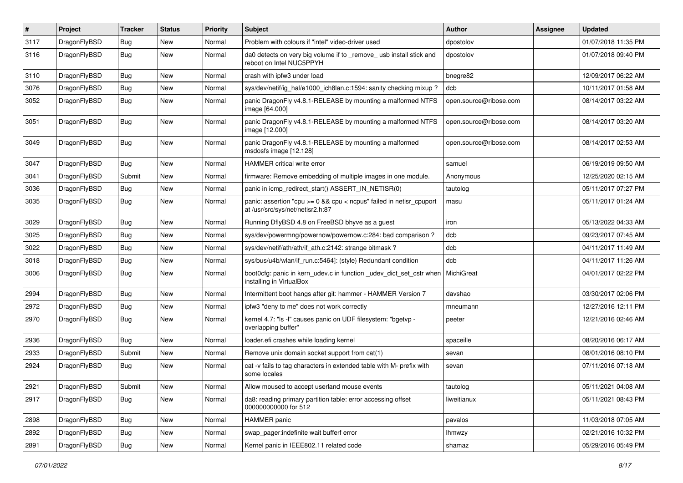| #    | Project      | <b>Tracker</b> | <b>Status</b> | <b>Priority</b> | Subject                                                                                                 | <b>Author</b>          | Assignee | <b>Updated</b>      |
|------|--------------|----------------|---------------|-----------------|---------------------------------------------------------------------------------------------------------|------------------------|----------|---------------------|
| 3117 | DragonFlyBSD | <b>Bug</b>     | <b>New</b>    | Normal          | Problem with colours if "intel" video-driver used                                                       | dpostolov              |          | 01/07/2018 11:35 PM |
| 3116 | DragonFlyBSD | <b>Bug</b>     | <b>New</b>    | Normal          | da0 detects on very big volume if to _remove_ usb install stick and<br>reboot on Intel NUC5PPYH         | dpostolov              |          | 01/07/2018 09:40 PM |
| 3110 | DragonFlyBSD | <b>Bug</b>     | New           | Normal          | crash with ipfw3 under load                                                                             | bnegre82               |          | 12/09/2017 06:22 AM |
| 3076 | DragonFlyBSD | <b>Bug</b>     | <b>New</b>    | Normal          | sys/dev/netif/ig_hal/e1000_ich8lan.c:1594: sanity checking mixup?                                       | dcb                    |          | 10/11/2017 01:58 AM |
| 3052 | DragonFlyBSD | <b>Bug</b>     | New           | Normal          | panic DragonFly v4.8.1-RELEASE by mounting a malformed NTFS<br>image [64.000]                           | open.source@ribose.com |          | 08/14/2017 03:22 AM |
| 3051 | DragonFlyBSD | Bug            | <b>New</b>    | Normal          | panic DragonFly v4.8.1-RELEASE by mounting a malformed NTFS<br>image [12.000]                           | open.source@ribose.com |          | 08/14/2017 03:20 AM |
| 3049 | DragonFlyBSD | Bug            | New           | Normal          | panic DragonFly v4.8.1-RELEASE by mounting a malformed<br>msdosfs image [12.128]                        | open.source@ribose.com |          | 08/14/2017 02:53 AM |
| 3047 | DragonFlyBSD | Bug            | <b>New</b>    | Normal          | HAMMER critical write error                                                                             | samuel                 |          | 06/19/2019 09:50 AM |
| 3041 | DragonFlyBSD | Submit         | <b>New</b>    | Normal          | firmware: Remove embedding of multiple images in one module.                                            | Anonymous              |          | 12/25/2020 02:15 AM |
| 3036 | DragonFlyBSD | <b>Bug</b>     | <b>New</b>    | Normal          | panic in icmp redirect start() ASSERT IN NETISR(0)                                                      | tautolog               |          | 05/11/2017 07:27 PM |
| 3035 | DragonFlyBSD | Bug            | New           | Normal          | panic: assertion "cpu >= 0 && cpu < ncpus" failed in netisr_cpuport<br>at /usr/src/sys/net/netisr2.h:87 | masu                   |          | 05/11/2017 01:24 AM |
| 3029 | DragonFlyBSD | <b>Bug</b>     | New           | Normal          | Running DflyBSD 4.8 on FreeBSD bhyve as a guest                                                         | iron                   |          | 05/13/2022 04:33 AM |
| 3025 | DragonFlyBSD | <b>Bug</b>     | <b>New</b>    | Normal          | sys/dev/powermng/powernow/powernow.c:284: bad comparison?                                               | dcb                    |          | 09/23/2017 07:45 AM |
| 3022 | DragonFlyBSD | <b>Bug</b>     | New           | Normal          | sys/dev/netif/ath/ath/if_ath.c:2142: strange bitmask?                                                   | dcb                    |          | 04/11/2017 11:49 AM |
| 3018 | DragonFlyBSD | <b>Bug</b>     | <b>New</b>    | Normal          | sys/bus/u4b/wlan/if run.c:5464]: (style) Redundant condition                                            | dcb                    |          | 04/11/2017 11:26 AM |
| 3006 | DragonFlyBSD | Bug            | <b>New</b>    | Normal          | boot0cfg: panic in kern_udev.c in function _udev_dict_set_cstr when<br>installing in VirtualBox         | MichiGreat             |          | 04/01/2017 02:22 PM |
| 2994 | DragonFlyBSD | <b>Bug</b>     | <b>New</b>    | Normal          | Intermittent boot hangs after git: hammer - HAMMER Version 7                                            | davshao                |          | 03/30/2017 02:06 PM |
| 2972 | DragonFlyBSD | <b>Bug</b>     | <b>New</b>    | Normal          | ipfw3 "deny to me" does not work correctly                                                              | mneumann               |          | 12/27/2016 12:11 PM |
| 2970 | DragonFlyBSD | <b>Bug</b>     | New           | Normal          | kernel 4.7: "Is -I" causes panic on UDF filesystem: "bgetvp -<br>overlapping buffer"                    | peeter                 |          | 12/21/2016 02:46 AM |
| 2936 | DragonFlyBSD | <b>Bug</b>     | <b>New</b>    | Normal          | loader.efi crashes while loading kernel                                                                 | spaceille              |          | 08/20/2016 06:17 AM |
| 2933 | DragonFlyBSD | Submit         | New           | Normal          | Remove unix domain socket support from cat(1)                                                           | sevan                  |          | 08/01/2016 08:10 PM |
| 2924 | DragonFlyBSD | Bug            | <b>New</b>    | Normal          | cat -v fails to tag characters in extended table with M- prefix with<br>some locales                    | sevan                  |          | 07/11/2016 07:18 AM |
| 2921 | DragonFlyBSD | Submit         | New           | Normal          | Allow moused to accept userland mouse events                                                            | tautolog               |          | 05/11/2021 04:08 AM |
| 2917 | DragonFlyBSD | <b>Bug</b>     | New           | Normal          | da8: reading primary partition table: error accessing offset<br>000000000000 for 512                    | liweitianux            |          | 05/11/2021 08:43 PM |
| 2898 | DragonFlyBSD | Bug            | New           | Normal          | HAMMER panic                                                                                            | pavalos                |          | 11/03/2018 07:05 AM |
| 2892 | DragonFlyBSD | <b>Bug</b>     | New           | Normal          | swap_pager:indefinite wait bufferf error                                                                | <b>Ihmwzy</b>          |          | 02/21/2016 10:32 PM |
| 2891 | DragonFlyBSD | <b>Bug</b>     | New           | Normal          | Kernel panic in IEEE802.11 related code                                                                 | shamaz                 |          | 05/29/2016 05:49 PM |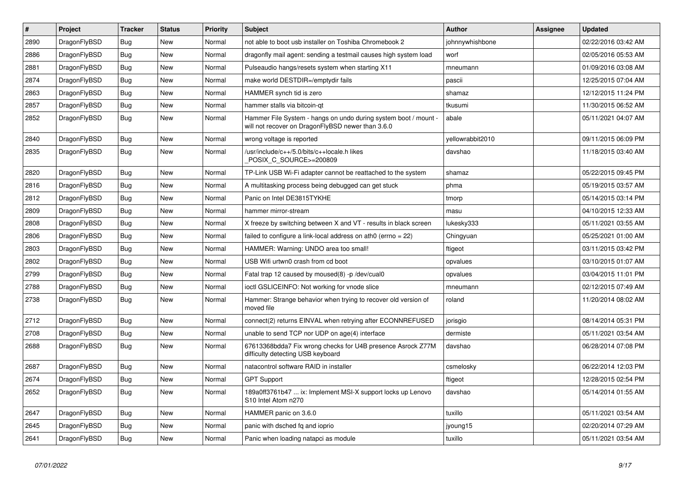| $\vert$ # | <b>Project</b> | <b>Tracker</b> | <b>Status</b> | <b>Priority</b> | <b>Subject</b>                                                                                                       | Author           | Assignee | <b>Updated</b>      |
|-----------|----------------|----------------|---------------|-----------------|----------------------------------------------------------------------------------------------------------------------|------------------|----------|---------------------|
| 2890      | DragonFlyBSD   | Bug            | <b>New</b>    | Normal          | not able to boot usb installer on Toshiba Chromebook 2                                                               | johnnywhishbone  |          | 02/22/2016 03:42 AM |
| 2886      | DragonFlyBSD   | Bug            | New           | Normal          | dragonfly mail agent: sending a testmail causes high system load                                                     | worf             |          | 02/05/2016 05:53 AM |
| 2881      | DragonFlyBSD   | <b>Bug</b>     | <b>New</b>    | Normal          | Pulseaudio hangs/resets system when starting X11                                                                     | mneumann         |          | 01/09/2016 03:08 AM |
| 2874      | DragonFlyBSD   | Bug            | New           | Normal          | make world DESTDIR=/emptydir fails                                                                                   | pascii           |          | 12/25/2015 07:04 AM |
| 2863      | DragonFlyBSD   | <b>Bug</b>     | <b>New</b>    | Normal          | HAMMER synch tid is zero                                                                                             | shamaz           |          | 12/12/2015 11:24 PM |
| 2857      | DragonFlyBSD   | <b>Bug</b>     | New           | Normal          | hammer stalls via bitcoin-qt                                                                                         | tkusumi          |          | 11/30/2015 06:52 AM |
| 2852      | DragonFlyBSD   | <b>Bug</b>     | <b>New</b>    | Normal          | Hammer File System - hangs on undo during system boot / mount -<br>will not recover on DragonFlyBSD newer than 3.6.0 | abale            |          | 05/11/2021 04:07 AM |
| 2840      | DragonFlyBSD   | <b>Bug</b>     | New           | Normal          | wrong voltage is reported                                                                                            | yellowrabbit2010 |          | 09/11/2015 06:09 PM |
| 2835      | DragonFlyBSD   | <b>Bug</b>     | New           | Normal          | /usr/include/c++/5.0/bits/c++locale.h likes<br>POSIX C SOURCE>=200809                                                | davshao          |          | 11/18/2015 03:40 AM |
| 2820      | DragonFlyBSD   | <b>Bug</b>     | <b>New</b>    | Normal          | TP-Link USB Wi-Fi adapter cannot be reattached to the system                                                         | shamaz           |          | 05/22/2015 09:45 PM |
| 2816      | DragonFlyBSD   | <b>Bug</b>     | <b>New</b>    | Normal          | A multitasking process being debugged can get stuck                                                                  | phma             |          | 05/19/2015 03:57 AM |
| 2812      | DragonFlyBSD   | Bug            | New           | Normal          | Panic on Intel DE3815TYKHE                                                                                           | tmorp            |          | 05/14/2015 03:14 PM |
| 2809      | DragonFlyBSD   | Bug            | <b>New</b>    | Normal          | hammer mirror-stream                                                                                                 | masu             |          | 04/10/2015 12:33 AM |
| 2808      | DragonFlyBSD   | Bug            | New           | Normal          | X freeze by switching between X and VT - results in black screen                                                     | lukesky333       |          | 05/11/2021 03:55 AM |
| 2806      | DragonFlyBSD   | <b>Bug</b>     | <b>New</b>    | Normal          | failed to configure a link-local address on ath0 (errno = 22)                                                        | Chingyuan        |          | 05/25/2021 01:00 AM |
| 2803      | DragonFlyBSD   | Bug            | <b>New</b>    | Normal          | HAMMER: Warning: UNDO area too small!                                                                                | ftigeot          |          | 03/11/2015 03:42 PM |
| 2802      | DragonFlyBSD   | Bug            | New           | Normal          | USB Wifi urtwn0 crash from cd boot                                                                                   | opvalues         |          | 03/10/2015 01:07 AM |
| 2799      | DragonFlyBSD   | Bug            | New           | Normal          | Fatal trap 12 caused by moused(8) -p/dev/cual0                                                                       | opvalues         |          | 03/04/2015 11:01 PM |
| 2788      | DragonFlyBSD   | Bug            | New           | Normal          | ioctl GSLICEINFO: Not working for vnode slice                                                                        | mneumann         |          | 02/12/2015 07:49 AM |
| 2738      | DragonFlyBSD   | Bug            | <b>New</b>    | Normal          | Hammer: Strange behavior when trying to recover old version of<br>moved file                                         | roland           |          | 11/20/2014 08:02 AM |
| 2712      | DragonFlyBSD   | Bug            | <b>New</b>    | Normal          | connect(2) returns EINVAL when retrying after ECONNREFUSED                                                           | jorisgio         |          | 08/14/2014 05:31 PM |
| 2708      | DragonFlyBSD   | <b>Bug</b>     | New           | Normal          | unable to send TCP nor UDP on age(4) interface                                                                       | dermiste         |          | 05/11/2021 03:54 AM |
| 2688      | DragonFlyBSD   | Bug            | New           | Normal          | 67613368bdda7 Fix wrong checks for U4B presence Asrock Z77M<br>difficulty detecting USB keyboard                     | davshao          |          | 06/28/2014 07:08 PM |
| 2687      | DragonFlyBSD   | Bug            | <b>New</b>    | Normal          | natacontrol software RAID in installer                                                                               | csmelosky        |          | 06/22/2014 12:03 PM |
| 2674      | DragonFlyBSD   | <b>Bug</b>     | <b>New</b>    | Normal          | <b>GPT Support</b>                                                                                                   | ftigeot          |          | 12/28/2015 02:54 PM |
| 2652      | DragonFlyBSD   | Bug            | <b>New</b>    | Normal          | 189a0ff3761b47  ix: Implement MSI-X support locks up Lenovo<br>S10 Intel Atom n270                                   | davshao          |          | 05/14/2014 01:55 AM |
| 2647      | DragonFlyBSD   | <b>Bug</b>     | <b>New</b>    | Normal          | HAMMER panic on 3.6.0                                                                                                | tuxillo          |          | 05/11/2021 03:54 AM |
| 2645      | DragonFlyBSD   | Bug            | <b>New</b>    | Normal          | panic with dsched fq and ioprio                                                                                      | jyoung15         |          | 02/20/2014 07:29 AM |
| 2641      | DragonFlyBSD   | Bug            | <b>New</b>    | Normal          | Panic when loading natapci as module                                                                                 | tuxillo          |          | 05/11/2021 03:54 AM |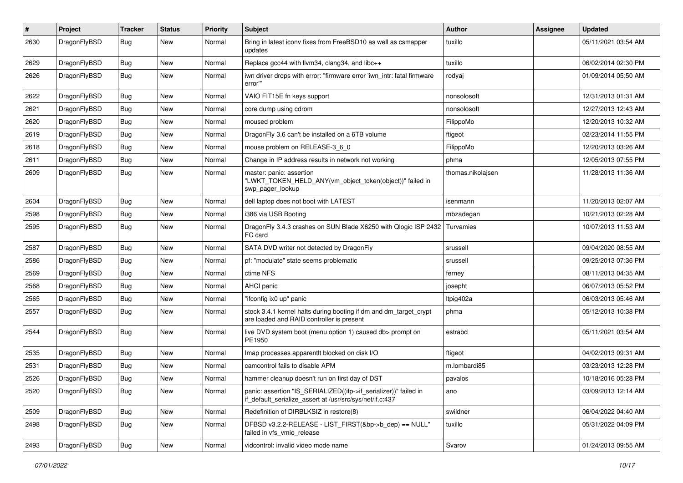| #    | Project      | <b>Tracker</b> | <b>Status</b> | <b>Priority</b> | Subject                                                                                                                      | <b>Author</b>     | Assignee | <b>Updated</b>      |
|------|--------------|----------------|---------------|-----------------|------------------------------------------------------------------------------------------------------------------------------|-------------------|----------|---------------------|
| 2630 | DragonFlyBSD | Bug            | New           | Normal          | Bring in latest iconv fixes from FreeBSD10 as well as csmapper<br>updates                                                    | tuxillo           |          | 05/11/2021 03:54 AM |
| 2629 | DragonFlyBSD | <b>Bug</b>     | <b>New</b>    | Normal          | Replace gcc44 with llvm34, clang34, and libc++                                                                               | tuxillo           |          | 06/02/2014 02:30 PM |
| 2626 | DragonFlyBSD | Bug            | <b>New</b>    | Normal          | iwn driver drops with error: "firmware error 'iwn_intr: fatal firmware<br>error""                                            | rodyaj            |          | 01/09/2014 05:50 AM |
| 2622 | DragonFlyBSD | <b>Bug</b>     | <b>New</b>    | Normal          | VAIO FIT15E fn keys support                                                                                                  | nonsolosoft       |          | 12/31/2013 01:31 AM |
| 2621 | DragonFlyBSD | Bug            | <b>New</b>    | Normal          | core dump using cdrom                                                                                                        | nonsolosoft       |          | 12/27/2013 12:43 AM |
| 2620 | DragonFlyBSD | <b>Bug</b>     | New           | Normal          | moused problem                                                                                                               | FilippoMo         |          | 12/20/2013 10:32 AM |
| 2619 | DragonFlyBSD | <b>Bug</b>     | <b>New</b>    | Normal          | DragonFly 3.6 can't be installed on a 6TB volume                                                                             | ftigeot           |          | 02/23/2014 11:55 PM |
| 2618 | DragonFlyBSD | Bug            | <b>New</b>    | Normal          | mouse problem on RELEASE-3_6_0                                                                                               | FilippoMo         |          | 12/20/2013 03:26 AM |
| 2611 | DragonFlyBSD | <b>Bug</b>     | <b>New</b>    | Normal          | Change in IP address results in network not working                                                                          | phma              |          | 12/05/2013 07:55 PM |
| 2609 | DragonFlyBSD | Bug            | <b>New</b>    | Normal          | master: panic: assertion<br>"LWKT_TOKEN_HELD_ANY(vm_object_token(object))" failed in<br>swp pager lookup                     | thomas.nikolajsen |          | 11/28/2013 11:36 AM |
| 2604 | DragonFlyBSD | Bug            | <b>New</b>    | Normal          | dell laptop does not boot with LATEST                                                                                        | isenmann          |          | 11/20/2013 02:07 AM |
| 2598 | DragonFlyBSD | <b>Bug</b>     | <b>New</b>    | Normal          | i386 via USB Booting                                                                                                         | mbzadegan         |          | 10/21/2013 02:28 AM |
| 2595 | DragonFlyBSD | <b>Bug</b>     | New           | Normal          | DragonFly 3.4.3 crashes on SUN Blade X6250 with Qlogic ISP 2432<br>FC card                                                   | Turvamies         |          | 10/07/2013 11:53 AM |
| 2587 | DragonFlyBSD | Bug            | <b>New</b>    | Normal          | SATA DVD writer not detected by DragonFly                                                                                    | srussell          |          | 09/04/2020 08:55 AM |
| 2586 | DragonFlyBSD | Bug            | <b>New</b>    | Normal          | pf: "modulate" state seems problematic                                                                                       | srussell          |          | 09/25/2013 07:36 PM |
| 2569 | DragonFlyBSD | Bug            | <b>New</b>    | Normal          | ctime NFS                                                                                                                    | ferney            |          | 08/11/2013 04:35 AM |
| 2568 | DragonFlyBSD | Bug            | <b>New</b>    | Normal          | <b>AHCI</b> panic                                                                                                            | josepht           |          | 06/07/2013 05:52 PM |
| 2565 | DragonFlyBSD | Bug            | <b>New</b>    | Normal          | "ifconfig ix0 up" panic                                                                                                      | ltpig402a         |          | 06/03/2013 05:46 AM |
| 2557 | DragonFlyBSD | Bug            | New           | Normal          | stock 3.4.1 kernel halts during booting if dm and dm_target_crypt<br>are loaded and RAID controller is present               | phma              |          | 05/12/2013 10:38 PM |
| 2544 | DragonFlyBSD | <b>Bug</b>     | <b>New</b>    | Normal          | live DVD system boot (menu option 1) caused db> prompt on<br>PE1950                                                          | estrabd           |          | 05/11/2021 03:54 AM |
| 2535 | DragonFlyBSD | Bug            | <b>New</b>    | Normal          | Imap processes apparentlt blocked on disk I/O                                                                                | ftigeot           |          | 04/02/2013 09:31 AM |
| 2531 | DragonFlyBSD | Bug            | <b>New</b>    | Normal          | camcontrol fails to disable APM                                                                                              | m.lombardi85      |          | 03/23/2013 12:28 PM |
| 2526 | DragonFlyBSD | Bug            | New           | Normal          | hammer cleanup doesn't run on first day of DST                                                                               | pavalos           |          | 10/18/2016 05:28 PM |
| 2520 | DragonFlyBSD | <b>Bug</b>     | New           | Normal          | panic: assertion "IS_SERIALIZED((ifp->if_serializer))" failed in<br>if default serialize assert at /usr/src/sys/net/if.c:437 | ano               |          | 03/09/2013 12:14 AM |
| 2509 | DragonFlyBSD | <b>Bug</b>     | New           | Normal          | Redefinition of DIRBLKSIZ in restore(8)                                                                                      | swildner          |          | 06/04/2022 04:40 AM |
| 2498 | DragonFlyBSD | Bug            | New           | Normal          | DFBSD v3.2.2-RELEASE - LIST FIRST(&bp->b dep) == NULL"<br>failed in vfs vmio release                                         | tuxillo           |          | 05/31/2022 04:09 PM |
| 2493 | DragonFlyBSD | Bug            | New           | Normal          | vidcontrol: invalid video mode name                                                                                          | Svarov            |          | 01/24/2013 09:55 AM |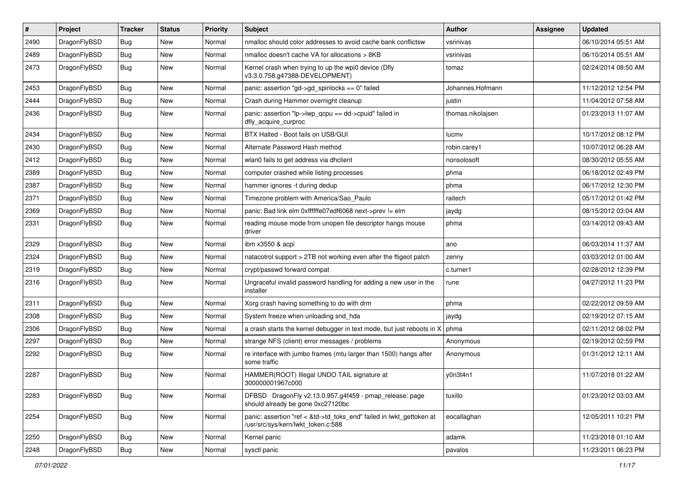| $\sharp$ | Project      | <b>Tracker</b> | <b>Status</b> | <b>Priority</b> | Subject                                                                                                    | Author            | Assignee | <b>Updated</b>      |
|----------|--------------|----------------|---------------|-----------------|------------------------------------------------------------------------------------------------------------|-------------------|----------|---------------------|
| 2490     | DragonFlyBSD | Bug            | <b>New</b>    | Normal          | nmalloc should color addresses to avoid cache bank conflictsw                                              | vsrinivas         |          | 06/10/2014 05:51 AM |
| 2489     | DragonFlyBSD | Bug            | <b>New</b>    | Normal          | nmalloc doesn't cache VA for allocations > 8KB                                                             | vsrinivas         |          | 06/10/2014 05:51 AM |
| 2473     | DragonFlyBSD | <b>Bug</b>     | New           | Normal          | Kernel crash when trying to up the wpi0 device (Dfly<br>v3.3.0.758.g47388-DEVELOPMENT)                     | tomaz             |          | 02/24/2014 08:50 AM |
| 2453     | DragonFlyBSD | Bug            | <b>New</b>    | Normal          | panic: assertion "gd->gd_spinlocks == 0" failed                                                            | Johannes.Hofmann  |          | 11/12/2012 12:54 PM |
| 2444     | DragonFlyBSD | <b>Bug</b>     | <b>New</b>    | Normal          | Crash during Hammer overnight cleanup                                                                      | justin            |          | 11/04/2012 07:58 AM |
| 2436     | DragonFlyBSD | Bug            | <b>New</b>    | Normal          | panic: assertion "lp->lwp_qcpu == dd->cpuid" failed in<br>dfly acquire curproc                             | thomas.nikolajsen |          | 01/23/2013 11:07 AM |
| 2434     | DragonFlyBSD | Bug            | <b>New</b>    | Normal          | BTX Halted - Boot fails on USB/GUI                                                                         | lucmv             |          | 10/17/2012 08:12 PM |
| 2430     | DragonFlyBSD | Bug            | <b>New</b>    | Normal          | Alternate Password Hash method                                                                             | robin.carey1      |          | 10/07/2012 06:28 AM |
| 2412     | DragonFlyBSD | <b>Bug</b>     | <b>New</b>    | Normal          | wlan0 fails to get address via dhclient                                                                    | nonsolosoft       |          | 08/30/2012 05:55 AM |
| 2389     | DragonFlyBSD | Bug            | <b>New</b>    | Normal          | computer crashed while listing processes                                                                   | phma              |          | 06/18/2012 02:49 PM |
| 2387     | DragonFlyBSD | Bug            | <b>New</b>    | Normal          | hammer ignores -t during dedup                                                                             | phma              |          | 06/17/2012 12:30 PM |
| 2371     | DragonFlyBSD | Bug            | <b>New</b>    | Normal          | Timezone problem with America/Sao Paulo                                                                    | raitech           |          | 05/17/2012 01:42 PM |
| 2369     | DragonFlyBSD | Bug            | <b>New</b>    | Normal          | panic: Bad link elm 0xffffffe07edf6068 next->prev != elm                                                   | jaydg             |          | 08/15/2012 03:04 AM |
| 2331     | DragonFlyBSD | Bug            | New           | Normal          | reading mouse mode from unopen file descriptor hangs mouse<br>driver                                       | phma              |          | 03/14/2012 09:43 AM |
| 2329     | DragonFlyBSD | <b>Bug</b>     | <b>New</b>    | Normal          | ibm x3550 & acpi                                                                                           | ano               |          | 06/03/2014 11:37 AM |
| 2324     | DragonFlyBSD | <b>Bug</b>     | <b>New</b>    | Normal          | natacotrol support > 2TB not working even after the ftigeot patch                                          | zenny             |          | 03/03/2012 01:00 AM |
| 2319     | DragonFlyBSD | <b>Bug</b>     | <b>New</b>    | Normal          | crypt/passwd forward compat                                                                                | c.turner1         |          | 02/28/2012 12:39 PM |
| 2316     | DragonFlyBSD | Bug            | New           | Normal          | Ungraceful invalid password handling for adding a new user in the<br>installer                             | rune              |          | 04/27/2012 11:23 PM |
| 2311     | DragonFlyBSD | <b>Bug</b>     | <b>New</b>    | Normal          | Xorg crash having something to do with drm                                                                 | phma              |          | 02/22/2012 09:59 AM |
| 2308     | DragonFlyBSD | <b>Bug</b>     | <b>New</b>    | Normal          | System freeze when unloading snd_hda                                                                       | jaydg             |          | 02/19/2012 07:15 AM |
| 2306     | DragonFlyBSD | <b>Bug</b>     | <b>New</b>    | Normal          | a crash starts the kernel debugger in text mode, but just reboots in X                                     | phma              |          | 02/11/2012 08:02 PM |
| 2297     | DragonFlyBSD | <b>Bug</b>     | <b>New</b>    | Normal          | strange NFS (client) error messages / problems                                                             | Anonymous         |          | 02/19/2012 02:59 PM |
| 2292     | DragonFlyBSD | <b>Bug</b>     | <b>New</b>    | Normal          | re interface with jumbo frames (mtu larger than 1500) hangs after<br>some traffic                          | Anonymous         |          | 01/31/2012 12:11 AM |
| 2287     | DragonFlyBSD | <b>Bug</b>     | <b>New</b>    | Normal          | HAMMER(ROOT) Illegal UNDO TAIL signature at<br>300000001967c000                                            | y0n3t4n1          |          | 11/07/2018 01:22 AM |
| 2283     | DragonFlyBSD | <b>Bug</b>     | New           | Normal          | DFBSD DragonFly v2.13.0.957.g4f459 - pmap_release: page<br>should already be gone 0xc27120bc               | tuxillo           |          | 01/23/2012 03:03 AM |
| 2254     | DragonFlyBSD | <b>Bug</b>     | New           | Normal          | panic: assertion "ref < &td->td_toks_end" failed in lwkt_gettoken at<br>/usr/src/sys/kern/lwkt token.c:588 | eocallaghan       |          | 12/05/2011 10:21 PM |
| 2250     | DragonFlyBSD | <b>Bug</b>     | New           | Normal          | Kernel panic                                                                                               | adamk             |          | 11/23/2018 01:10 AM |
| 2248     | DragonFlyBSD | <b>Bug</b>     | New           | Normal          | sysctl panic                                                                                               | pavalos           |          | 11/23/2011 06:23 PM |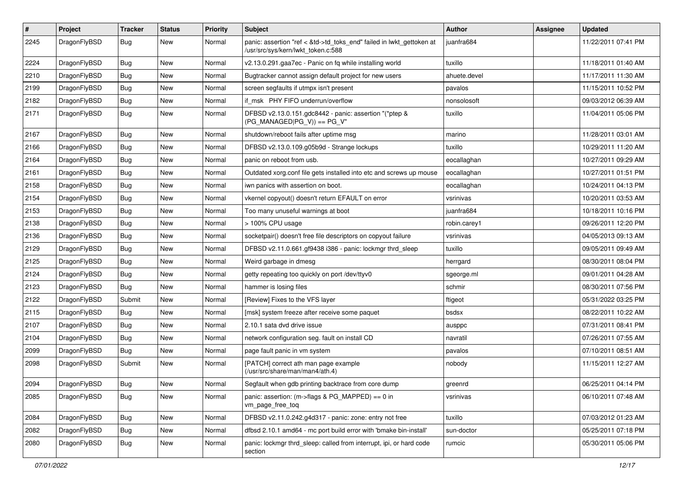| $\sharp$ | Project      | <b>Tracker</b> | <b>Status</b> | <b>Priority</b> | Subject                                                                                                    | Author       | Assignee | <b>Updated</b>      |
|----------|--------------|----------------|---------------|-----------------|------------------------------------------------------------------------------------------------------------|--------------|----------|---------------------|
| 2245     | DragonFlyBSD | Bug            | New           | Normal          | panic: assertion "ref < &td->td_toks_end" failed in lwkt_gettoken at<br>/usr/src/sys/kern/lwkt_token.c:588 | juanfra684   |          | 11/22/2011 07:41 PM |
| 2224     | DragonFlyBSD | <b>Bug</b>     | New           | Normal          | v2.13.0.291.gaa7ec - Panic on fq while installing world                                                    | tuxillo      |          | 11/18/2011 01:40 AM |
| 2210     | DragonFlyBSD | <b>Bug</b>     | New           | Normal          | Bugtracker cannot assign default project for new users                                                     | ahuete.devel |          | 11/17/2011 11:30 AM |
| 2199     | DragonFlyBSD | <b>Bug</b>     | New           | Normal          | screen segfaults if utmpx isn't present                                                                    | pavalos      |          | 11/15/2011 10:52 PM |
| 2182     | DragonFlyBSD | Bug            | New           | Normal          | if msk PHY FIFO underrun/overflow                                                                          | nonsolosoft  |          | 09/03/2012 06:39 AM |
| 2171     | DragonFlyBSD | <b>Bug</b>     | New           | Normal          | DFBSD v2.13.0.151.gdc8442 - panic: assertion "(*ptep &<br>$(PG_MANAGED PG_V)$ == PG_V"                     | tuxillo      |          | 11/04/2011 05:06 PM |
| 2167     | DragonFlyBSD | <b>Bug</b>     | <b>New</b>    | Normal          | shutdown/reboot fails after uptime msg                                                                     | marino       |          | 11/28/2011 03:01 AM |
| 2166     | DragonFlyBSD | <b>Bug</b>     | New           | Normal          | DFBSD v2.13.0.109.g05b9d - Strange lockups                                                                 | tuxillo      |          | 10/29/2011 11:20 AM |
| 2164     | DragonFlyBSD | <b>Bug</b>     | <b>New</b>    | Normal          | panic on reboot from usb.                                                                                  | eocallaghan  |          | 10/27/2011 09:29 AM |
| 2161     | DragonFlyBSD | <b>Bug</b>     | <b>New</b>    | Normal          | Outdated xorg.conf file gets installed into etc and screws up mouse                                        | eocallaghan  |          | 10/27/2011 01:51 PM |
| 2158     | DragonFlyBSD | <b>Bug</b>     | New           | Normal          | iwn panics with assertion on boot.                                                                         | eocallaghan  |          | 10/24/2011 04:13 PM |
| 2154     | DragonFlyBSD | <b>Bug</b>     | New           | Normal          | vkernel copyout() doesn't return EFAULT on error                                                           | vsrinivas    |          | 10/20/2011 03:53 AM |
| 2153     | DragonFlyBSD | <b>Bug</b>     | New           | Normal          | Too many unuseful warnings at boot                                                                         | juanfra684   |          | 10/18/2011 10:16 PM |
| 2138     | DragonFlyBSD | <b>Bug</b>     | New           | Normal          | > 100% CPU usage                                                                                           | robin.carey1 |          | 09/26/2011 12:20 PM |
| 2136     | DragonFlyBSD | <b>Bug</b>     | New           | Normal          | socketpair() doesn't free file descriptors on copyout failure                                              | vsrinivas    |          | 04/05/2013 09:13 AM |
| 2129     | DragonFlyBSD | <b>Bug</b>     | <b>New</b>    | Normal          | DFBSD v2.11.0.661.gf9438 i386 - panic: lockmgr thrd_sleep                                                  | tuxillo      |          | 09/05/2011 09:49 AM |
| 2125     | DragonFlyBSD | Bug            | New           | Normal          | Weird garbage in dmesg                                                                                     | herrgard     |          | 08/30/2011 08:04 PM |
| 2124     | DragonFlyBSD | Bug            | New           | Normal          | getty repeating too quickly on port /dev/ttyv0                                                             | sgeorge.ml   |          | 09/01/2011 04:28 AM |
| 2123     | DragonFlyBSD | Bug            | New           | Normal          | hammer is losing files                                                                                     | schmir       |          | 08/30/2011 07:56 PM |
| 2122     | DragonFlyBSD | Submit         | New           | Normal          | [Review] Fixes to the VFS layer                                                                            | ftigeot      |          | 05/31/2022 03:25 PM |
| 2115     | DragonFlyBSD | Bug            | New           | Normal          | [msk] system freeze after receive some paquet                                                              | bsdsx        |          | 08/22/2011 10:22 AM |
| 2107     | DragonFlyBSD | Bug            | New           | Normal          | 2.10.1 sata dvd drive issue                                                                                | ausppc       |          | 07/31/2011 08:41 PM |
| 2104     | DragonFlyBSD | Bug            | New           | Normal          | network configuration seg. fault on install CD                                                             | navratil     |          | 07/26/2011 07:55 AM |
| 2099     | DragonFlyBSD | Bug            | New           | Normal          | page fault panic in vm system                                                                              | pavalos      |          | 07/10/2011 08:51 AM |
| 2098     | DragonFlyBSD | Submit         | <b>New</b>    | Normal          | [PATCH] correct ath man page example<br>(/usr/src/share/man/man4/ath.4)                                    | nobody       |          | 11/15/2011 12:27 AM |
| 2094     | DragonFlyBSD | Bug            | <b>New</b>    | Normal          | Segfault when gdb printing backtrace from core dump                                                        | greenrd      |          | 06/25/2011 04:14 PM |
| 2085     | DragonFlyBSD | Bug            | New           | Normal          | panic: assertion: (m->flags & PG_MAPPED) == 0 in<br>vm_page_free_toq                                       | vsrinivas    |          | 06/10/2011 07:48 AM |
| 2084     | DragonFlyBSD | Bug            | <b>New</b>    | Normal          | DFBSD v2.11.0.242.g4d317 - panic: zone: entry not free                                                     | tuxillo      |          | 07/03/2012 01:23 AM |
| 2082     | DragonFlyBSD | Bug            | New           | Normal          | dfbsd 2.10.1 amd64 - mc port build error with 'bmake bin-install'                                          | sun-doctor   |          | 05/25/2011 07:18 PM |
| 2080     | DragonFlyBSD | Bug            | New           | Normal          | panic: lockmgr thrd sleep: called from interrupt, ipi, or hard code<br>section                             | rumcic       |          | 05/30/2011 05:06 PM |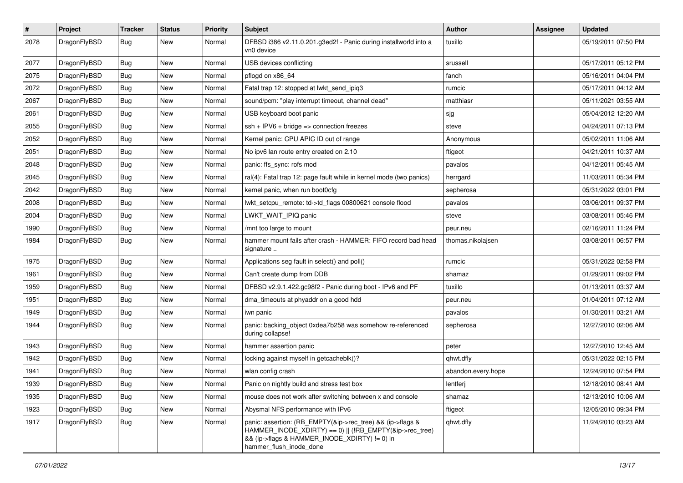| $\vert$ # | Project      | <b>Tracker</b> | <b>Status</b> | <b>Priority</b> | <b>Subject</b>                                                                                                                                                                                    | Author             | <b>Assignee</b> | <b>Updated</b>      |
|-----------|--------------|----------------|---------------|-----------------|---------------------------------------------------------------------------------------------------------------------------------------------------------------------------------------------------|--------------------|-----------------|---------------------|
| 2078      | DragonFlyBSD | Bug            | New           | Normal          | DFBSD i386 v2.11.0.201.g3ed2f - Panic during installworld into a<br>vn0 device                                                                                                                    | tuxillo            |                 | 05/19/2011 07:50 PM |
| 2077      | DragonFlyBSD | <b>Bug</b>     | <b>New</b>    | Normal          | USB devices conflicting                                                                                                                                                                           | srussell           |                 | 05/17/2011 05:12 PM |
| 2075      | DragonFlyBSD | Bug            | <b>New</b>    | Normal          | pflogd on x86_64                                                                                                                                                                                  | fanch              |                 | 05/16/2011 04:04 PM |
| 2072      | DragonFlyBSD | <b>Bug</b>     | <b>New</b>    | Normal          | Fatal trap 12: stopped at lwkt_send_ipiq3                                                                                                                                                         | rumcic             |                 | 05/17/2011 04:12 AM |
| 2067      | DragonFlyBSD | <b>Bug</b>     | New           | Normal          | sound/pcm: "play interrupt timeout, channel dead"                                                                                                                                                 | matthiasr          |                 | 05/11/2021 03:55 AM |
| 2061      | DragonFlyBSD | Bug            | <b>New</b>    | Normal          | USB keyboard boot panic                                                                                                                                                                           | sjg                |                 | 05/04/2012 12:20 AM |
| 2055      | DragonFlyBSD | <b>Bug</b>     | New           | Normal          | ssh + IPV6 + bridge => connection freezes                                                                                                                                                         | steve              |                 | 04/24/2011 07:13 PM |
| 2052      | DragonFlyBSD | Bug            | <b>New</b>    | Normal          | Kernel panic: CPU APIC ID out of range                                                                                                                                                            | Anonymous          |                 | 05/02/2011 11:06 AM |
| 2051      | DragonFlyBSD | Bug            | <b>New</b>    | Normal          | No ipv6 lan route entry created on 2.10                                                                                                                                                           | ftigeot            |                 | 04/21/2011 10:37 AM |
| 2048      | DragonFlyBSD | <b>Bug</b>     | <b>New</b>    | Normal          | panic: ffs_sync: rofs mod                                                                                                                                                                         | pavalos            |                 | 04/12/2011 05:45 AM |
| 2045      | DragonFlyBSD | Bug            | <b>New</b>    | Normal          | ral(4): Fatal trap 12: page fault while in kernel mode (two panics)                                                                                                                               | herrgard           |                 | 11/03/2011 05:34 PM |
| 2042      | DragonFlyBSD | Bug            | New           | Normal          | kernel panic, when run boot0cfg                                                                                                                                                                   | sepherosa          |                 | 05/31/2022 03:01 PM |
| 2008      | DragonFlyBSD | Bug            | New           | Normal          | lwkt_setcpu_remote: td->td_flags 00800621 console flood                                                                                                                                           | pavalos            |                 | 03/06/2011 09:37 PM |
| 2004      | DragonFlyBSD | <b>Bug</b>     | <b>New</b>    | Normal          | LWKT_WAIT_IPIQ panic                                                                                                                                                                              | steve              |                 | 03/08/2011 05:46 PM |
| 1990      | DragonFlyBSD | <b>Bug</b>     | New           | Normal          | /mnt too large to mount                                                                                                                                                                           | peur.neu           |                 | 02/16/2011 11:24 PM |
| 1984      | DragonFlyBSD | Bug            | New           | Normal          | hammer mount fails after crash - HAMMER: FIFO record bad head<br>signature                                                                                                                        | thomas.nikolajsen  |                 | 03/08/2011 06:57 PM |
| 1975      | DragonFlyBSD | Bug            | <b>New</b>    | Normal          | Applications seg fault in select() and poll()                                                                                                                                                     | rumcic             |                 | 05/31/2022 02:58 PM |
| 1961      | DragonFlyBSD | Bug            | <b>New</b>    | Normal          | Can't create dump from DDB                                                                                                                                                                        | shamaz             |                 | 01/29/2011 09:02 PM |
| 1959      | DragonFlyBSD | Bug            | New           | Normal          | DFBSD v2.9.1.422.gc98f2 - Panic during boot - IPv6 and PF                                                                                                                                         | tuxillo            |                 | 01/13/2011 03:37 AM |
| 1951      | DragonFlyBSD | Bug            | <b>New</b>    | Normal          | dma_timeouts at phyaddr on a good hdd                                                                                                                                                             | peur.neu           |                 | 01/04/2011 07:12 AM |
| 1949      | DragonFlyBSD | <b>Bug</b>     | <b>New</b>    | Normal          | iwn panic                                                                                                                                                                                         | pavalos            |                 | 01/30/2011 03:21 AM |
| 1944      | DragonFlyBSD | Bug            | <b>New</b>    | Normal          | panic: backing_object 0xdea7b258 was somehow re-referenced<br>during collapse!                                                                                                                    | sepherosa          |                 | 12/27/2010 02:06 AM |
| 1943      | DragonFlyBSD | <b>Bug</b>     | <b>New</b>    | Normal          | hammer assertion panic                                                                                                                                                                            | peter              |                 | 12/27/2010 12:45 AM |
| 1942      | DragonFlyBSD | <b>Bug</b>     | New           | Normal          | locking against myself in getcacheblk()?                                                                                                                                                          | qhwt.dfly          |                 | 05/31/2022 02:15 PM |
| 1941      | DragonFlyBSD | Bug            | <b>New</b>    | Normal          | wlan config crash                                                                                                                                                                                 | abandon.every.hope |                 | 12/24/2010 07:54 PM |
| 1939      | DragonFlyBSD | Bug            | New           | Normal          | Panic on nightly build and stress test box                                                                                                                                                        | lentferj           |                 | 12/18/2010 08:41 AM |
| 1935      | DragonFlyBSD | Bug            | New           | Normal          | mouse does not work after switching between x and console                                                                                                                                         | shamaz             |                 | 12/13/2010 10:06 AM |
| 1923      | DragonFlyBSD | Bug            | New           | Normal          | Abysmal NFS performance with IPv6                                                                                                                                                                 | ftigeot            |                 | 12/05/2010 09:34 PM |
| 1917      | DragonFlyBSD | Bug            | New           | Normal          | panic: assertion: (RB EMPTY(&ip->rec tree) && (ip->flags &<br>HAMMER_INODE_XDIRTY) == 0)    (!RB_EMPTY(&ip->rec_tree)<br>&& (ip->flags & HAMMER_INODE_XDIRTY) != 0) in<br>hammer_flush_inode_done | qhwt.dfly          |                 | 11/24/2010 03:23 AM |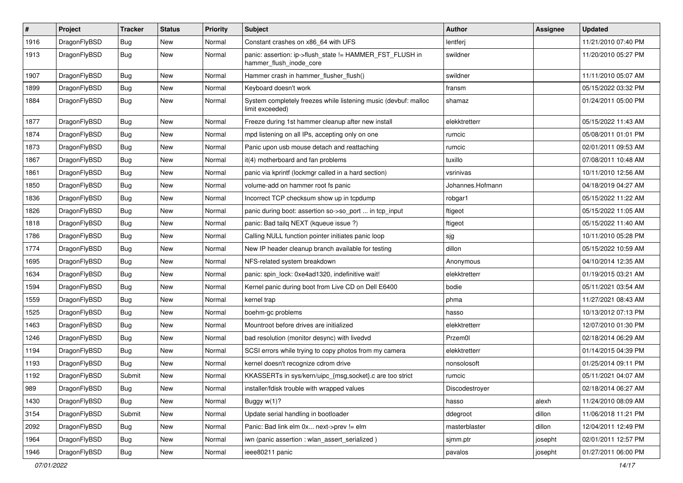| $\sharp$ | Project      | <b>Tracker</b> | <b>Status</b> | <b>Priority</b> | Subject                                                                             | Author           | Assignee | <b>Updated</b>      |
|----------|--------------|----------------|---------------|-----------------|-------------------------------------------------------------------------------------|------------------|----------|---------------------|
| 1916     | DragonFlyBSD | Bug            | New           | Normal          | Constant crashes on x86_64 with UFS                                                 | lentferj         |          | 11/21/2010 07:40 PM |
| 1913     | DragonFlyBSD | <b>Bug</b>     | New           | Normal          | panic: assertion: ip->flush_state != HAMMER_FST_FLUSH in<br>hammer_flush_inode_core | swildner         |          | 11/20/2010 05:27 PM |
| 1907     | DragonFlyBSD | Bug            | New           | Normal          | Hammer crash in hammer_flusher_flush()                                              | swildner         |          | 11/11/2010 05:07 AM |
| 1899     | DragonFlyBSD | Bug            | <b>New</b>    | Normal          | Keyboard doesn't work                                                               | fransm           |          | 05/15/2022 03:32 PM |
| 1884     | DragonFlyBSD | <b>Bug</b>     | New           | Normal          | System completely freezes while listening music (devbuf: malloc<br>limit exceeded)  | shamaz           |          | 01/24/2011 05:00 PM |
| 1877     | DragonFlyBSD | Bug            | New           | Normal          | Freeze during 1st hammer cleanup after new install                                  | elekktretterr    |          | 05/15/2022 11:43 AM |
| 1874     | DragonFlyBSD | Bug            | <b>New</b>    | Normal          | mpd listening on all IPs, accepting only on one                                     | rumcic           |          | 05/08/2011 01:01 PM |
| 1873     | DragonFlyBSD | Bug            | New           | Normal          | Panic upon usb mouse detach and reattaching                                         | rumcic           |          | 02/01/2011 09:53 AM |
| 1867     | DragonFlyBSD | Bug            | <b>New</b>    | Normal          | it(4) motherboard and fan problems                                                  | tuxillo          |          | 07/08/2011 10:48 AM |
| 1861     | DragonFlyBSD | <b>Bug</b>     | <b>New</b>    | Normal          | panic via kprintf (lockmgr called in a hard section)                                | vsrinivas        |          | 10/11/2010 12:56 AM |
| 1850     | DragonFlyBSD | Bug            | New           | Normal          | volume-add on hammer root fs panic                                                  | Johannes.Hofmann |          | 04/18/2019 04:27 AM |
| 1836     | DragonFlyBSD | Bug            | New           | Normal          | Incorrect TCP checksum show up in tcpdump                                           | robgar1          |          | 05/15/2022 11:22 AM |
| 1826     | DragonFlyBSD | Bug            | New           | Normal          | panic during boot: assertion so->so_port  in tcp_input                              | ftigeot          |          | 05/15/2022 11:05 AM |
| 1818     | DragonFlyBSD | Bug            | <b>New</b>    | Normal          | panic: Bad tailq NEXT (kqueue issue ?)                                              | ftigeot          |          | 05/15/2022 11:40 AM |
| 1786     | DragonFlyBSD | <b>Bug</b>     | New           | Normal          | Calling NULL function pointer initiates panic loop                                  | sjg              |          | 10/11/2010 05:28 PM |
| 1774     | DragonFlyBSD | Bug            | <b>New</b>    | Normal          | New IP header cleanup branch available for testing                                  | dillon           |          | 05/15/2022 10:59 AM |
| 1695     | DragonFlyBSD | Bug            | New           | Normal          | NFS-related system breakdown                                                        | Anonymous        |          | 04/10/2014 12:35 AM |
| 1634     | DragonFlyBSD | Bug            | <b>New</b>    | Normal          | panic: spin_lock: 0xe4ad1320, indefinitive wait!                                    | elekktretterr    |          | 01/19/2015 03:21 AM |
| 1594     | DragonFlyBSD | <b>Bug</b>     | New           | Normal          | Kernel panic during boot from Live CD on Dell E6400                                 | bodie            |          | 05/11/2021 03:54 AM |
| 1559     | DragonFlyBSD | Bug            | New           | Normal          | kernel trap                                                                         | phma             |          | 11/27/2021 08:43 AM |
| 1525     | DragonFlyBSD | Bug            | New           | Normal          | boehm-gc problems                                                                   | hasso            |          | 10/13/2012 07:13 PM |
| 1463     | DragonFlyBSD | Bug            | New           | Normal          | Mountroot before drives are initialized                                             | elekktretterr    |          | 12/07/2010 01:30 PM |
| 1246     | DragonFlyBSD | Bug            | New           | Normal          | bad resolution (monitor desync) with livedvd                                        | Przem0l          |          | 02/18/2014 06:29 AM |
| 1194     | DragonFlyBSD | Bug            | New           | Normal          | SCSI errors while trying to copy photos from my camera                              | elekktretterr    |          | 01/14/2015 04:39 PM |
| 1193     | DragonFlyBSD | Bug            | New           | Normal          | kernel doesn't recognize cdrom drive                                                | nonsolosoft      |          | 01/25/2014 09:11 PM |
| 1192     | DragonFlyBSD | Submit         | New           | Normal          | KKASSERTs in sys/kern/uipc_{msg,socket}.c are too strict                            | rumcic           |          | 05/11/2021 04:07 AM |
| 989      | DragonFlyBSD | <b>Bug</b>     | <b>New</b>    | Normal          | installer/fdisk trouble with wrapped values                                         | Discodestroyer   |          | 02/18/2014 06:27 AM |
| 1430     | DragonFlyBSD | Bug            | <b>New</b>    | Normal          | Buggy w(1)?                                                                         | hasso            | alexh    | 11/24/2010 08:09 AM |
| 3154     | DragonFlyBSD | Submit         | <b>New</b>    | Normal          | Update serial handling in bootloader                                                | ddegroot         | dillon   | 11/06/2018 11:21 PM |
| 2092     | DragonFlyBSD | <b>Bug</b>     | New           | Normal          | Panic: Bad link elm 0x next->prev != elm                                            | masterblaster    | dillon   | 12/04/2011 12:49 PM |
| 1964     | DragonFlyBSD | <b>Bug</b>     | <b>New</b>    | Normal          | iwn (panic assertion : wlan_assert_serialized)                                      | sjmm.ptr         | josepht  | 02/01/2011 12:57 PM |
| 1946     | DragonFlyBSD | <b>Bug</b>     | New           | Normal          | ieee80211 panic                                                                     | pavalos          | josepht  | 01/27/2011 06:00 PM |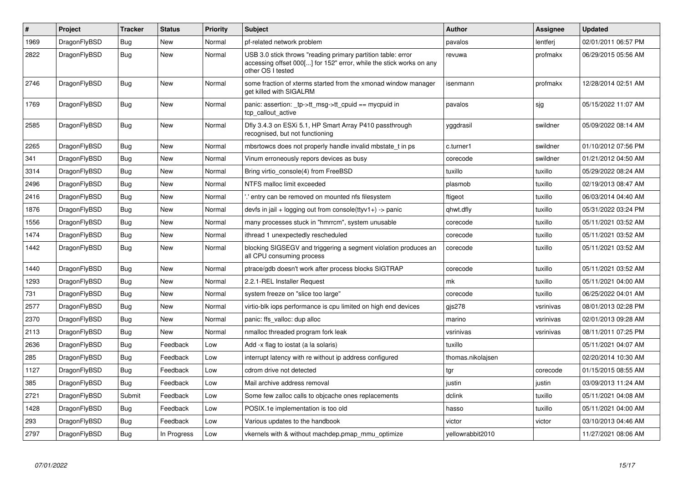| $\vert$ # | <b>Project</b> | <b>Tracker</b> | <b>Status</b> | <b>Priority</b> | <b>Subject</b>                                                                                                                                           | <b>Author</b>     | Assignee  | <b>Updated</b>      |
|-----------|----------------|----------------|---------------|-----------------|----------------------------------------------------------------------------------------------------------------------------------------------------------|-------------------|-----------|---------------------|
| 1969      | DragonFlyBSD   | <b>Bug</b>     | <b>New</b>    | Normal          | pf-related network problem                                                                                                                               | pavalos           | lentferj  | 02/01/2011 06:57 PM |
| 2822      | DragonFlyBSD   | Bug            | New           | Normal          | USB 3.0 stick throws "reading primary partition table: error<br>accessing offset 000[] for 152" error, while the stick works on any<br>other OS I tested | revuwa            | profmakx  | 06/29/2015 05:56 AM |
| 2746      | DragonFlyBSD   | Bug            | New           | Normal          | some fraction of xterms started from the xmonad window manager<br>get killed with SIGALRM                                                                | isenmann          | profmakx  | 12/28/2014 02:51 AM |
| 1769      | DragonFlyBSD   | Bug            | <b>New</b>    | Normal          | panic: assertion: tp->tt msg->tt cpuid == mycpuid in<br>tcp callout active                                                                               | pavalos           | sig       | 05/15/2022 11:07 AM |
| 2585      | DragonFlyBSD   | Bug            | New           | Normal          | Dfly 3.4.3 on ESXi 5.1, HP Smart Array P410 passthrough<br>recognised, but not functioning                                                               | yggdrasil         | swildner  | 05/09/2022 08:14 AM |
| 2265      | DragonFlyBSD   | Bug            | <b>New</b>    | Normal          | mbsrtowcs does not properly handle invalid mbstate t in ps                                                                                               | c.turner1         | swildner  | 01/10/2012 07:56 PM |
| 341       | DragonFlyBSD   | <b>Bug</b>     | <b>New</b>    | Normal          | Vinum erroneously repors devices as busy                                                                                                                 | corecode          | swildner  | 01/21/2012 04:50 AM |
| 3314      | DragonFlyBSD   | Bug            | New           | Normal          | Bring virtio console(4) from FreeBSD                                                                                                                     | tuxillo           | tuxillo   | 05/29/2022 08:24 AM |
| 2496      | DragonFlyBSD   | Bug            | <b>New</b>    | Normal          | NTFS malloc limit exceeded                                                                                                                               | plasmob           | tuxillo   | 02/19/2013 08:47 AM |
| 2416      | DragonFlyBSD   | Bug            | New           | Normal          | .' entry can be removed on mounted nfs filesystem                                                                                                        | ftigeot           | tuxillo   | 06/03/2014 04:40 AM |
| 1876      | DragonFlyBSD   | Bug            | New           | Normal          | devfs in jail + logging out from console(ttyv1+) -> panic                                                                                                | qhwt.dfly         | tuxillo   | 05/31/2022 03:24 PM |
| 1556      | DragonFlyBSD   | <b>Bug</b>     | New           | Normal          | many processes stuck in "hmrrcm", system unusable                                                                                                        | corecode          | tuxillo   | 05/11/2021 03:52 AM |
| 1474      | DragonFlyBSD   | Bug            | New           | Normal          | ithread 1 unexpectedly rescheduled                                                                                                                       | corecode          | tuxillo   | 05/11/2021 03:52 AM |
| 1442      | DragonFlyBSD   | <b>Bug</b>     | New           | Normal          | blocking SIGSEGV and triggering a segment violation produces an<br>all CPU consuming process                                                             | corecode          | tuxillo   | 05/11/2021 03:52 AM |
| 1440      | DragonFlyBSD   | <b>Bug</b>     | New           | Normal          | ptrace/gdb doesn't work after process blocks SIGTRAP                                                                                                     | corecode          | tuxillo   | 05/11/2021 03:52 AM |
| 1293      | DragonFlyBSD   | Bug            | New           | Normal          | 2.2.1-REL Installer Request                                                                                                                              | mk                | tuxillo   | 05/11/2021 04:00 AM |
| 731       | DragonFlyBSD   | <b>Bug</b>     | <b>New</b>    | Normal          | system freeze on "slice too large"                                                                                                                       | corecode          | tuxillo   | 06/25/2022 04:01 AM |
| 2577      | DragonFlyBSD   | Bug            | New           | Normal          | virtio-blk iops performance is cpu limited on high end devices                                                                                           | $g$ js $278$      | vsrinivas | 08/01/2013 02:28 PM |
| 2370      | DragonFlyBSD   | <b>Bug</b>     | <b>New</b>    | Normal          | panic: ffs valloc: dup alloc                                                                                                                             | marino            | vsrinivas | 02/01/2013 09:28 AM |
| 2113      | DragonFlyBSD   | <b>Bug</b>     | New           | Normal          | nmalloc threaded program fork leak                                                                                                                       | vsrinivas         | vsrinivas | 08/11/2011 07:25 PM |
| 2636      | DragonFlyBSD   | Bug            | Feedback      | Low             | Add -x flag to iostat (a la solaris)                                                                                                                     | tuxillo           |           | 05/11/2021 04:07 AM |
| 285       | DragonFlyBSD   | Bug            | Feedback      | Low             | interrupt latency with re without ip address configured                                                                                                  | thomas.nikolajsen |           | 02/20/2014 10:30 AM |
| 1127      | DragonFlyBSD   | Bug            | Feedback      | Low             | cdrom drive not detected                                                                                                                                 | tgr               | corecode  | 01/15/2015 08:55 AM |
| 385       | DragonFlyBSD   | <b>Bug</b>     | Feedback      | Low             | Mail archive address removal                                                                                                                             | justin            | justin    | 03/09/2013 11:24 AM |
| 2721      | DragonFlyBSD   | Submit         | Feedback      | Low             | Some few zalloc calls to objcache ones replacements                                                                                                      | dclink            | tuxillo   | 05/11/2021 04:08 AM |
| 1428      | DragonFlyBSD   | <b>Bug</b>     | Feedback      | Low             | POSIX.1e implementation is too old                                                                                                                       | hasso             | tuxillo   | 05/11/2021 04:00 AM |
| 293       | DragonFlyBSD   | Bug            | Feedback      | Low             | Various updates to the handbook                                                                                                                          | victor            | victor    | 03/10/2013 04:46 AM |
| 2797      | DragonFlyBSD   | Bug            | In Progress   | Low             | vkernels with & without machdep.pmap_mmu_optimize                                                                                                        | yellowrabbit2010  |           | 11/27/2021 08:06 AM |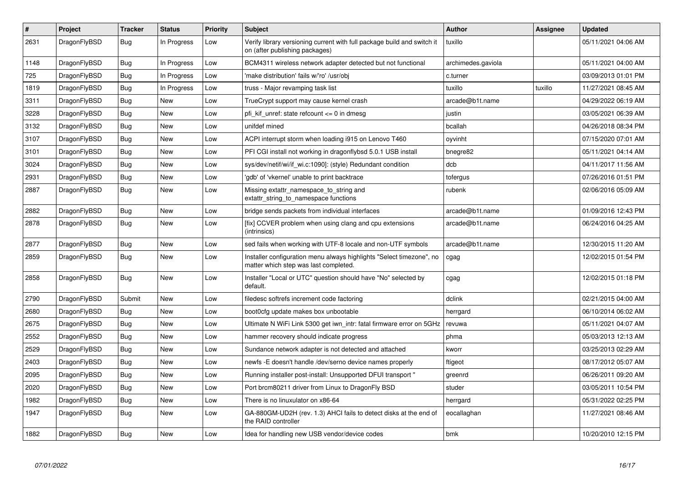| $\vert$ # | Project      | <b>Tracker</b> | <b>Status</b> | <b>Priority</b> | <b>Subject</b>                                                                                                | <b>Author</b>      | Assignee | <b>Updated</b>      |
|-----------|--------------|----------------|---------------|-----------------|---------------------------------------------------------------------------------------------------------------|--------------------|----------|---------------------|
| 2631      | DragonFlyBSD | <b>Bug</b>     | In Progress   | Low             | Verify library versioning current with full package build and switch it<br>on (after publishing packages)     | tuxillo            |          | 05/11/2021 04:06 AM |
| 1148      | DragonFlyBSD | <b>Bug</b>     | In Progress   | Low             | BCM4311 wireless network adapter detected but not functional                                                  | archimedes.gaviola |          | 05/11/2021 04:00 AM |
| 725       | DragonFlyBSD | Bug            | In Progress   | Low             | 'make distribution' fails w/'ro' /usr/obj                                                                     | c.turner           |          | 03/09/2013 01:01 PM |
| 1819      | DragonFlyBSD | <b>Bug</b>     | In Progress   | Low             | truss - Major revamping task list                                                                             | tuxillo            | tuxillo  | 11/27/2021 08:45 AM |
| 3311      | DragonFlyBSD | Bug            | New           | Low             | TrueCrypt support may cause kernel crash                                                                      | arcade@b1t.name    |          | 04/29/2022 06:19 AM |
| 3228      | DragonFlyBSD | <b>Bug</b>     | <b>New</b>    | Low             | pfi kif unref: state refcount $\leq$ 0 in dmesq                                                               | justin             |          | 03/05/2021 06:39 AM |
| 3132      | DragonFlyBSD | <b>Bug</b>     | <b>New</b>    | Low             | unifdef mined                                                                                                 | bcallah            |          | 04/26/2018 08:34 PM |
| 3107      | DragonFlyBSD | <b>Bug</b>     | <b>New</b>    | Low             | ACPI interrupt storm when loading i915 on Lenovo T460                                                         | oyvinht            |          | 07/15/2020 07:01 AM |
| 3101      | DragonFlyBSD | Bug            | <b>New</b>    | Low             | PFI CGI install not working in dragonflybsd 5.0.1 USB install                                                 | bnegre82           |          | 05/11/2021 04:14 AM |
| 3024      | DragonFlyBSD | <b>Bug</b>     | <b>New</b>    | Low             | sys/dev/netif/wi/if_wi.c:1090]: (style) Redundant condition                                                   | dcb                |          | 04/11/2017 11:56 AM |
| 2931      | DragonFlyBSD | Bug            | <b>New</b>    | Low             | 'gdb' of 'vkernel' unable to print backtrace                                                                  | tofergus           |          | 07/26/2016 01:51 PM |
| 2887      | DragonFlyBSD | Bug            | New           | Low             | Missing extattr namespace to string and<br>extattr_string_to_namespace functions                              | rubenk             |          | 02/06/2016 05:09 AM |
| 2882      | DragonFlyBSD | Bug            | <b>New</b>    | Low             | bridge sends packets from individual interfaces                                                               | arcade@b1t.name    |          | 01/09/2016 12:43 PM |
| 2878      | DragonFlyBSD | <b>Bug</b>     | New           | Low             | [fix] CCVER problem when using clang and cpu extensions<br>(intrinsics)                                       | arcade@b1t.name    |          | 06/24/2016 04:25 AM |
| 2877      | DragonFlyBSD | <b>Bug</b>     | <b>New</b>    | Low             | sed fails when working with UTF-8 locale and non-UTF symbols                                                  | arcade@b1t.name    |          | 12/30/2015 11:20 AM |
| 2859      | DragonFlyBSD | Bug            | New           | Low             | Installer configuration menu always highlights "Select timezone", no<br>matter which step was last completed. | cgag               |          | 12/02/2015 01:54 PM |
| 2858      | DragonFlyBSD | Bug            | New           | Low             | Installer "Local or UTC" question should have "No" selected by<br>default.                                    | cgag               |          | 12/02/2015 01:18 PM |
| 2790      | DragonFlyBSD | Submit         | <b>New</b>    | Low             | filedesc softrefs increment code factoring                                                                    | dclink             |          | 02/21/2015 04:00 AM |
| 2680      | DragonFlyBSD | <b>Bug</b>     | <b>New</b>    | Low             | boot0cfg update makes box unbootable                                                                          | herrgard           |          | 06/10/2014 06:02 AM |
| 2675      | DragonFlyBSD | Bug            | <b>New</b>    | Low             | Ultimate N WiFi Link 5300 get iwn intr: fatal firmware error on 5GHz                                          | revuwa             |          | 05/11/2021 04:07 AM |
| 2552      | DragonFlyBSD | Bug            | <b>New</b>    | Low             | hammer recovery should indicate progress                                                                      | phma               |          | 05/03/2013 12:13 AM |
| 2529      | DragonFlyBSD | Bug            | <b>New</b>    | Low             | Sundance network adapter is not detected and attached                                                         | kworr              |          | 03/25/2013 02:29 AM |
| 2403      | DragonFlyBSD | <b>Bug</b>     | <b>New</b>    | Low             | newfs -E doesn't handle /dev/serno device names properly                                                      | ftigeot            |          | 08/17/2012 05:07 AM |
| 2095      | DragonFlyBSD | Bug            | New           | Low             | Running installer post-install: Unsupported DFUI transport "                                                  | greenrd            |          | 06/26/2011 09:20 AM |
| 2020      | DragonFlyBSD | Bug            | New           | Low             | Port brcm80211 driver from Linux to DragonFly BSD                                                             | studer             |          | 03/05/2011 10:54 PM |
| 1982      | DragonFlyBSD | Bug            | <b>New</b>    | Low             | There is no linuxulator on x86-64                                                                             | herrgard           |          | 05/31/2022 02:25 PM |
| 1947      | DragonFlyBSD | <b>Bug</b>     | <b>New</b>    | Low             | GA-880GM-UD2H (rev. 1.3) AHCI fails to detect disks at the end of<br>the RAID controller                      | eocallaghan        |          | 11/27/2021 08:46 AM |
| 1882      | DragonFlyBSD | <b>Bug</b>     | <b>New</b>    | Low             | Idea for handling new USB vendor/device codes                                                                 | bmk                |          | 10/20/2010 12:15 PM |